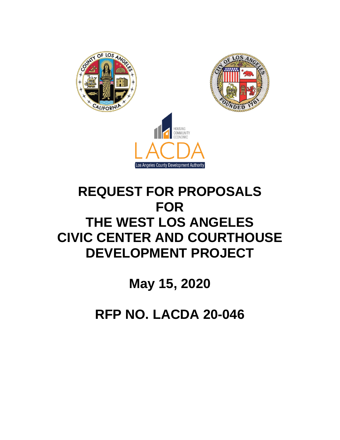

# **REQUEST FOR PROPOSALS FOR THE WEST LOS ANGELES CIVIC CENTER AND COURTHOUSE DEVELOPMENT PROJECT**

**May 15, 2020**

**RFP NO. LACDA 20-046**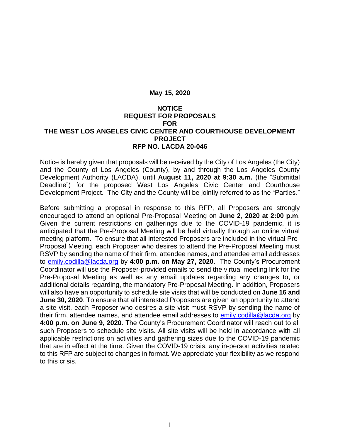#### **May 15, 2020**

#### **NOTICE REQUEST FOR PROPOSALS FOR THE WEST LOS ANGELES CIVIC CENTER AND COURTHOUSE DEVELOPMENT PROJECT RFP NO. LACDA 20-046**

Notice is hereby given that proposals will be received by the City of Los Angeles (the City) and the County of Los Angeles (County), by and through the Los Angeles County Development Authority (LACDA), until **August 11, 2020 at 9:30 a.m.** (the "Submittal Deadline") for the proposed West Los Angeles Civic Center and Courthouse Development Project. The City and the County will be jointly referred to as the "Parties."

Before submitting a proposal in response to this RFP, all Proposers are strongly encouraged to attend an optional Pre-Proposal Meeting on **June 2**, **2020 at 2:00 p.m**. Given the current restrictions on gatherings due to the COVID-19 pandemic, it is anticipated that the Pre-Proposal Meeting will be held virtually through an online virtual meeting platform. To ensure that all interested Proposers are included in the virtual Pre-Proposal Meeting, each Proposer who desires to attend the Pre-Proposal Meeting must RSVP by sending the name of their firm, attendee names, and attendee email addresses to [emily.codilla@lacda.org](mailto:emily.codilla@lacda.org) by **4:00 p.m. on May 27, 2020**. The County's Procurement Coordinator will use the Proposer-provided emails to send the virtual meeting link for the Pre-Proposal Meeting as well as any email updates regarding any changes to, or additional details regarding, the mandatory Pre-Proposal Meeting. In addition, Proposers will also have an opportunity to schedule site visits that will be conducted on **June 16 and June 30, 2020**. To ensure that all interested Proposers are given an opportunity to attend a site visit, each Proposer who desires a site visit must RSVP by sending the name of their firm, attendee names, and attendee email addresses to [emily.codilla@lacda.org](mailto:emily.codilla@lacda.org) by **4:00 p.m. on June 9, 2020**. The County's Procurement Coordinator will reach out to all such Proposers to schedule site visits. All site visits will be held in accordance with all applicable restrictions on activities and gathering sizes due to the COVID-19 pandemic that are in effect at the time. Given the COVID-19 crisis, any in-person activities related to this RFP are subject to changes in format. We appreciate your flexibility as we respond to this crisis.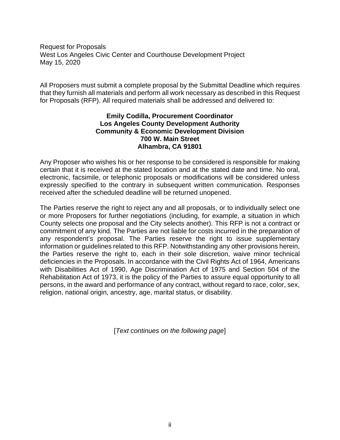Request for Proposals West Los Angeles Civic Center and Courthouse Development Project May 15, 2020

All Proposers must submit a complete proposal by the Submittal Deadline which requires that they furnish all materials and perform all work necessary as described in this Request for Proposals (RFP). All required materials shall be addressed and delivered to:

#### **Emily Codilla, Procurement Coordinator Los Angeles County Development Authority Community & Economic Development Division 700 W. Main Street Alhambra, CA 91801**

Any Proposer who wishes his or her response to be considered is responsible for making certain that it is received at the stated location and at the stated date and time. No oral, electronic, facsimile, or telephonic proposals or modifications will be considered unless expressly specified to the contrary in subsequent written communication. Responses received after the scheduled deadline will be returned unopened.

The Parties reserve the right to reject any and all proposals, or to individually select one or more Proposers for further negotiations (including, for example, a situation in which County selects one proposal and the City selects another). This RFP is not a contract or commitment of any kind. The Parties are not liable for costs incurred in the preparation of any respondent's proposal. The Parties reserve the right to issue supplementary information or guidelines related to this RFP. Notwithstanding any other provisions herein, the Parties reserve the right to, each in their sole discretion, waive minor technical deficiencies in the Proposals. In accordance with the Civil Rights Act of 1964, Americans with Disabilities Act of 1990, Age Discrimination Act of 1975 and Section 504 of the Rehabilitation Act of 1973, it is the policy of the Parties to assure equal opportunity to all persons, in the award and performance of any contract, without regard to race, color, sex, religion, national origin, ancestry, age, marital status, or disability.

[*Text continues on the following page*]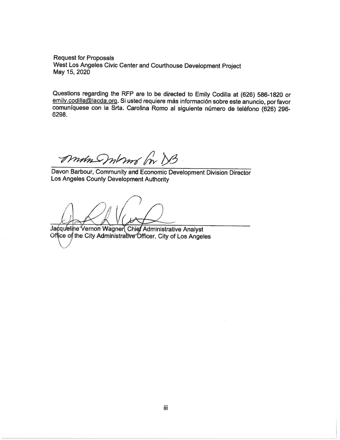**Request for Proposals** West Los Angeles Civic Center and Courthouse Development Project May 15, 2020

Questions regarding the RFP are to be directed to Emily Codilla at (626) 586-1820 or emily.codilla@lacda.org. Si usted requiere más información sobre este anuncio, por favor comuníquese con la Srta. Carolina Romo al siguiente número de teléfono (626) 296-6298.

Mun moms on DB

Davon Barbour, Community and Economic Development Division Director Los Angeles County Development Authority

Jacqueline Vernon Wagner Chief Administrative Analyst Office of the City Administrative Officer, City of Los Angeles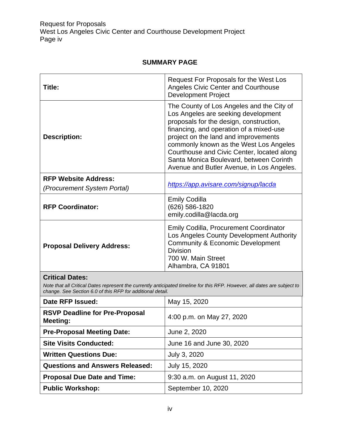### **SUMMARY PAGE**

| Title:                                                     | Request For Proposals for the West Los<br><b>Angeles Civic Center and Courthouse</b><br><b>Development Project</b>                                                                                                                                                                                                                                                                             |  |
|------------------------------------------------------------|------------------------------------------------------------------------------------------------------------------------------------------------------------------------------------------------------------------------------------------------------------------------------------------------------------------------------------------------------------------------------------------------|--|
| <b>Description:</b>                                        | The County of Los Angeles and the City of<br>Los Angeles are seeking development<br>proposals for the design, construction,<br>financing, and operation of a mixed-use<br>project on the land and improvements<br>commonly known as the West Los Angeles<br>Courthouse and Civic Center, located along<br>Santa Monica Boulevard, between Corinth<br>Avenue and Butler Avenue, in Los Angeles. |  |
| <b>RFP Website Address:</b><br>(Procurement System Portal) | https://app.avisare.com/signup/lacda                                                                                                                                                                                                                                                                                                                                                           |  |
| <b>RFP Coordinator:</b>                                    | <b>Emily Codilla</b><br>(626) 586-1820<br>emily.codilla@lacda.org                                                                                                                                                                                                                                                                                                                              |  |
| <b>Proposal Delivery Address:</b>                          | <b>Emily Codilla, Procurement Coordinator</b><br>Los Angeles County Development Authority<br><b>Community &amp; Economic Development</b><br><b>Division</b><br>700 W. Main Street<br>Alhambra, CA 91801                                                                                                                                                                                        |  |

### **Critical Dates:**

*Note that all Critical Dates represent the currently anticipated timeline for this RFP. However, all dates are subject to change. See Section 6.0 of this RFP for additional detail.* 

| Date RFP Issued:                                  | May 15, 2020                 |  |
|---------------------------------------------------|------------------------------|--|
| <b>RSVP Deadline for Pre-Proposal</b><br>Meeting: | 4:00 p.m. on May 27, 2020    |  |
| <b>Pre-Proposal Meeting Date:</b>                 | June 2, 2020                 |  |
| <b>Site Visits Conducted:</b>                     | June 16 and June 30, 2020    |  |
| <b>Written Questions Due:</b>                     | July 3, 2020                 |  |
| <b>Questions and Answers Released:</b>            | July 15, 2020                |  |
| <b>Proposal Due Date and Time:</b>                | 9:30 a.m. on August 11, 2020 |  |
| <b>Public Workshop:</b>                           | September 10, 2020           |  |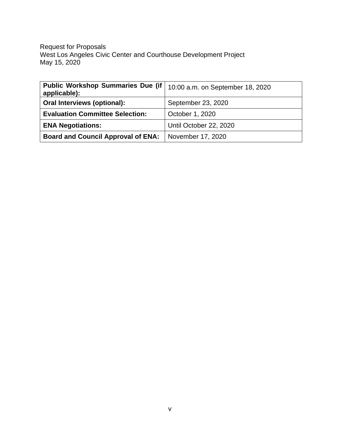Request for Proposals West Los Angeles Civic Center and Courthouse Development Project May 15, 2020

| <b>Public Workshop Summaries Due (if</b><br>applicable): | 10:00 a.m. on September 18, 2020 |  |
|----------------------------------------------------------|----------------------------------|--|
| Oral Interviews (optional):                              | September 23, 2020               |  |
| <b>Evaluation Committee Selection:</b>                   | October 1, 2020                  |  |
| <b>ENA Negotiations:</b>                                 | Until October 22, 2020           |  |
| <b>Board and Council Approval of ENA:</b>                | November 17, 2020                |  |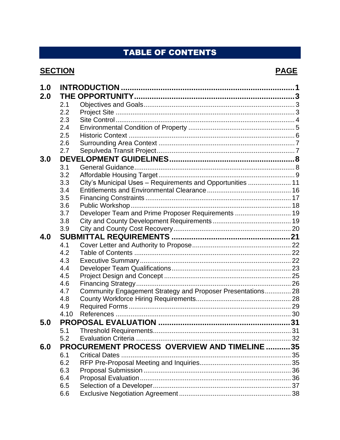# **TABLE OF CONTENTS**

## **SECTION**

# **PAGE**

| 1.0 |      |                                                             |  |
|-----|------|-------------------------------------------------------------|--|
| 2.0 |      |                                                             |  |
|     | 2.1  |                                                             |  |
|     | 2.2  |                                                             |  |
|     | 2.3  |                                                             |  |
|     | 2.4  |                                                             |  |
|     | 2.5  |                                                             |  |
|     | 2.6  |                                                             |  |
|     | 2.7  |                                                             |  |
| 3.0 |      |                                                             |  |
|     | 3.1  |                                                             |  |
|     | 3.2  |                                                             |  |
|     | 3.3  | City's Municipal Uses - Requirements and Opportunities  11  |  |
|     | 3.4  |                                                             |  |
|     | 3.5  |                                                             |  |
|     | 3.6  |                                                             |  |
|     | 3.7  | Developer Team and Prime Proposer Requirements  19          |  |
|     | 3.8  |                                                             |  |
|     | 3.9  |                                                             |  |
| 4.0 |      |                                                             |  |
|     | 4.1  |                                                             |  |
|     | 4.2  |                                                             |  |
|     | 4.3  |                                                             |  |
|     | 4.4  |                                                             |  |
|     | 4.5  |                                                             |  |
|     | 4.6  |                                                             |  |
|     | 4.7  | Community Engagement Strategy and Proposer Presentations 28 |  |
|     | 4.8  |                                                             |  |
|     | 4.9  |                                                             |  |
|     | 4.10 |                                                             |  |
| 5.0 |      |                                                             |  |
|     |      |                                                             |  |
|     | 5.2  |                                                             |  |
| 6.0 |      | PROCUREMENT PROCESS OVERVIEW AND TIMELINE 35                |  |
|     | 6.1  |                                                             |  |
|     | 6.2  |                                                             |  |
|     | 6.3  |                                                             |  |
|     | 6.4  |                                                             |  |
|     | 6.5  |                                                             |  |
|     | 6.6  |                                                             |  |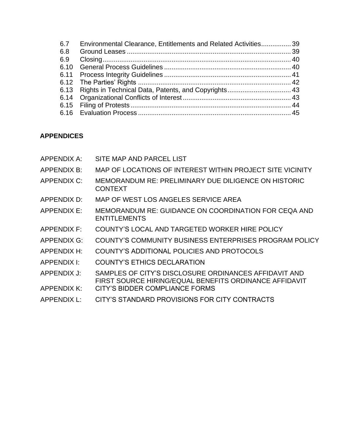| 6.7  | Environmental Clearance, Entitlements and Related Activities 39 |  |
|------|-----------------------------------------------------------------|--|
| 6.8  |                                                                 |  |
| 6.9  |                                                                 |  |
| 6.10 |                                                                 |  |
|      |                                                                 |  |
|      |                                                                 |  |
|      |                                                                 |  |
|      |                                                                 |  |
|      |                                                                 |  |
|      |                                                                 |  |
|      |                                                                 |  |

### **APPENDICES**

| <b>APPENDIX A:</b> | SITE MAP AND PARCEL LIST                                                                                        |
|--------------------|-----------------------------------------------------------------------------------------------------------------|
| APPENDIX B:        | MAP OF LOCATIONS OF INTEREST WITHIN PROJECT SITE VICINITY                                                       |
| <b>APPENDIX C:</b> | <b>MEMORANDUM RE: PRELIMINARY DUE DILIGENCE ON HISTORIC</b><br><b>CONTEXT</b>                                   |
| APPENDIX D:        | MAP OF WEST LOS ANGELES SERVICE AREA                                                                            |
| APPENDIX E:        | MEMORANDUM RE: GUIDANCE ON COORDINATION FOR CEQA AND<br><b>ENTITLEMENTS</b>                                     |
| <b>APPENDIX F:</b> | COUNTY'S LOCAL AND TARGETED WORKER HIRE POLICY                                                                  |
| <b>APPENDIX G:</b> | COUNTY'S COMMUNITY BUSINESS ENTERPRISES PROGRAM POLICY                                                          |
| <b>APPENDIX H:</b> | COUNTY'S ADDITIONAL POLICIES AND PROTOCOLS                                                                      |
| APPENDIX I:        | <b>COUNTY'S ETHICS DECLARATION</b>                                                                              |
| APPENDIX J:        | SAMPLES OF CITY'S DISCLOSURE ORDINANCES AFFIDAVIT AND<br>FIRST SOURCE HIRING/EQUAL BENEFITS ORDINANCE AFFIDAVIT |
| <b>APPENDIX K:</b> | CITY'S BIDDER COMPLIANCE FORMS                                                                                  |
| APPENDIX L:        | CITY'S STANDARD PROVISIONS FOR CITY CONTRACTS                                                                   |
|                    |                                                                                                                 |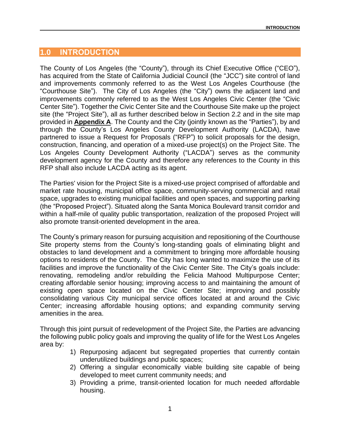### <span id="page-8-0"></span>**1.0 INTRODUCTION**

The County of Los Angeles (the "County"), through its Chief Executive Office ("CEO"), has acquired from the State of California Judicial Council (the "JCC") site control of land and improvements commonly referred to as the West Los Angeles Courthouse (the "Courthouse Site"). The City of Los Angeles (the "City") owns the adjacent land and improvements commonly referred to as the West Los Angeles Civic Center (the "Civic Center Site"). Together the Civic Center Site and the Courthouse Site make up the project site (the "Project Site"), all as further described below in Section 2.2 and in the site map provided in **Appendix A**. The County and the City (jointly known as the "Parties"), by and through the County's Los Angeles County Development Authority (LACDA), have partnered to issue a Request for Proposals ("RFP") to solicit proposals for the design, construction, financing, and operation of a mixed-use project(s) on the Project Site. The Los Angeles County Development Authority ("LACDA") serves as the community development agency for the County and therefore any references to the County in this RFP shall also include LACDA acting as its agent.

The Parties' vision for the Project Site is a mixed-use project comprised of affordable and market rate housing, municipal office space, community-serving commercial and retail space, upgrades to existing municipal facilities and open spaces, and supporting parking (the "Proposed Project"). Situated along the Santa Monica Boulevard transit corridor and within a half-mile of quality public transportation, realization of the proposed Project will also promote transit-oriented development in the area.

The County's primary reason for pursuing acquisition and repositioning of the Courthouse Site property stems from the County's long-standing goals of eliminating blight and obstacles to land development and a commitment to bringing more affordable housing options to residents of the County. The City has long wanted to maximize the use of its facilities and improve the functionality of the Civic Center Site. The City's goals include: renovating, remodeling and/or rebuilding the Felicia Mahood Multipurpose Center; creating affordable senior housing; improving access to and maintaining the amount of existing open space located on the Civic Center Site; improving and possibly consolidating various City municipal service offices located at and around the Civic Center; increasing affordable housing options; and expanding community serving amenities in the area.

Through this joint pursuit of redevelopment of the Project Site, the Parties are advancing the following public policy goals and improving the quality of life for the West Los Angeles area by:

- 1) Repurposing adjacent but segregated properties that currently contain underutilized buildings and public spaces;
- 2) Offering a singular economically viable building site capable of being developed to meet current community needs; and
- 3) Providing a prime, transit-oriented location for much needed affordable housing.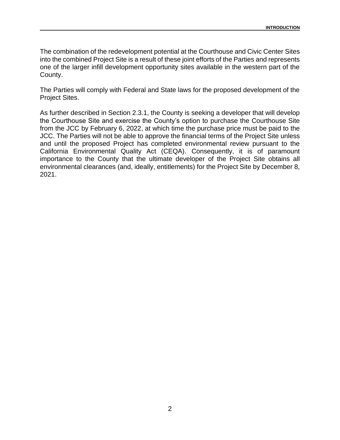The combination of the redevelopment potential at the Courthouse and Civic Center Sites into the combined Project Site is a result of these joint efforts of the Parties and represents one of the larger infill development opportunity sites available in the western part of the County.

The Parties will comply with Federal and State laws for the proposed development of the Project Sites.

As further described in Section 2.3.1, the County is seeking a developer that will develop the Courthouse Site and exercise the County's option to purchase the Courthouse Site from the JCC by February 6, 2022, at which time the purchase price must be paid to the JCC. The Parties will not be able to approve the financial terms of the Project Site unless and until the proposed Project has completed environmental review pursuant to the California Environmental Quality Act (CEQA). Consequently, it is of paramount importance to the County that the ultimate developer of the Project Site obtains all environmental clearances (and, ideally, entitlements) for the Project Site by December 8, 2021.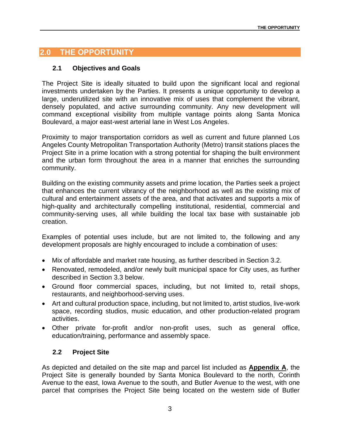### <span id="page-10-0"></span>**2.0 THE OPPORTUNITY**

#### <span id="page-10-1"></span>**2.1 Objectives and Goals**

The Project Site is ideally situated to build upon the significant local and regional investments undertaken by the Parties. It presents a unique opportunity to develop a large, underutilized site with an innovative mix of uses that complement the vibrant, densely populated, and active surrounding community. Any new development will command exceptional visibility from multiple vantage points along Santa Monica Boulevard, a major east-west arterial lane in West Los Angeles.

Proximity to major transportation corridors as well as current and future planned Los Angeles County Metropolitan Transportation Authority (Metro) transit stations places the Project Site in a prime location with a strong potential for shaping the built environment and the urban form throughout the area in a manner that enriches the surrounding community.

Building on the existing community assets and prime location, the Parties seek a project that enhances the current vibrancy of the neighborhood as well as the existing mix of cultural and entertainment assets of the area, and that activates and supports a mix of high-quality and architecturally compelling institutional, residential, commercial and community-serving uses, all while building the local tax base with sustainable job creation.

Examples of potential uses include, but are not limited to, the following and any development proposals are highly encouraged to include a combination of uses:

- Mix of affordable and market rate housing, as further described in Section 3.2.
- Renovated, remodeled, and/or newly built municipal space for City uses, as further described in Section 3.3 below.
- Ground floor commercial spaces, including, but not limited to, retail shops, restaurants, and neighborhood-serving uses.
- Art and cultural production space, including, but not limited to, artist studios, live-work space, recording studios, music education, and other production-related program activities.
- Other private for-profit and/or non-profit uses, such as general office, education/training, performance and assembly space.

#### <span id="page-10-2"></span>**2.2 Project Site**

As depicted and detailed on the site map and parcel list included as **Appendix A**, the Project Site is generally bounded by Santa Monica Boulevard to the north, Corinth Avenue to the east, Iowa Avenue to the south, and Butler Avenue to the west, with one parcel that comprises the Project Site being located on the western side of Butler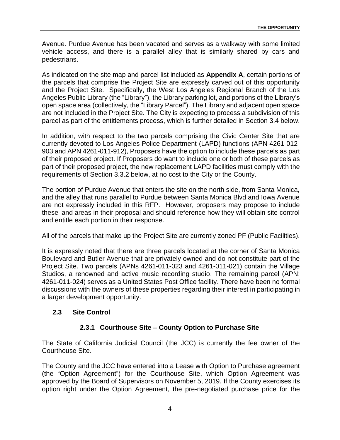Avenue. Purdue Avenue has been vacated and serves as a walkway with some limited vehicle access, and there is a parallel alley that is similarly shared by cars and pedestrians.

As indicated on the site map and parcel list included as **Appendix A**, certain portions of the parcels that comprise the Project Site are expressly carved out of this opportunity and the Project Site. Specifically, the West Los Angeles Regional Branch of the Los Angeles Public Library (the "Library"), the Library parking lot, and portions of the Library's open space area (collectively, the "Library Parcel"). The Library and adjacent open space are not included in the Project Site. The City is expecting to process a subdivision of this parcel as part of the entitlements process, which is further detailed in Section 3.4 below.

In addition, with respect to the two parcels comprising the Civic Center Site that are currently devoted to Los Angeles Police Department (LAPD) functions (APN 4261-012- 903 and APN 4261-011-912), Proposers have the option to include these parcels as part of their proposed project. If Proposers do want to include one or both of these parcels as part of their proposed project, the new replacement LAPD facilities must comply with the requirements of Section 3.3.2 below, at no cost to the City or the County.

The portion of Purdue Avenue that enters the site on the north side, from Santa Monica, and the alley that runs parallel to Purdue between Santa Monica Blvd and Iowa Avenue are not expressly included in this RFP. However, proposers may propose to include these land areas in their proposal and should reference how they will obtain site control and entitle each portion in their response.

All of the parcels that make up the Project Site are currently zoned PF (Public Facilities).

It is expressly noted that there are three parcels located at the corner of Santa Monica Boulevard and Butler Avenue that are privately owned and do not constitute part of the Project Site. Two parcels (APNs 4261-011-023 and 4261-011-021) contain the Village Studios, a renowned and active music recording studio. The remaining parcel (APN: 4261-011-024) serves as a United States Post Office facility. There have been no formal discussions with the owners of these properties regarding their interest in participating in a larger development opportunity.

#### <span id="page-11-0"></span>**2.3 Site Control**

#### **2.3.1 Courthouse Site – County Option to Purchase Site**

The State of California Judicial Council (the JCC) is currently the fee owner of the Courthouse Site.

The County and the JCC have entered into a Lease with Option to Purchase agreement (the "Option Agreement") for the Courthouse Site, which Option Agreement was approved by the Board of Supervisors on November 5, 2019. If the County exercises its option right under the Option Agreement, the pre-negotiated purchase price for the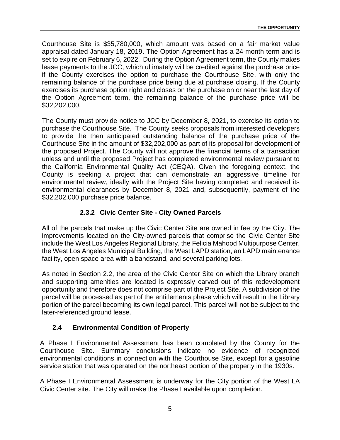Courthouse Site is \$35,780,000, which amount was based on a fair market value appraisal dated January 18, 2019. The Option Agreement has a 24-month term and is set to expire on February 6, 2022. During the Option Agreement term, the County makes lease payments to the JCC, which ultimately will be credited against the purchase price if the County exercises the option to purchase the Courthouse Site, with only the remaining balance of the purchase price being due at purchase closing. If the County exercises its purchase option right and closes on the purchase on or near the last day of the Option Agreement term, the remaining balance of the purchase price will be \$32,202,000.

The County must provide notice to JCC by December 8, 2021, to exercise its option to purchase the Courthouse Site. The County seeks proposals from interested developers to provide the then anticipated outstanding balance of the purchase price of the Courthouse Site in the amount of \$32,202,000 as part of its proposal for development of the proposed Project. The County will not approve the financial terms of a transaction unless and until the proposed Project has completed environmental review pursuant to the California Environmental Quality Act (CEQA). Given the foregoing context, the County is seeking a project that can demonstrate an aggressive timeline for environmental review, ideally with the Project Site having completed and received its environmental clearances by December 8, 2021 and, subsequently, payment of the \$32,202,000 purchase price balance.

#### **2.3.2 Civic Center Site - City Owned Parcels**

All of the parcels that make up the Civic Center Site are owned in fee by the City. The improvements located on the City-owned parcels that comprise the Civic Center Site include the West Los Angeles Regional Library, the Felicia Mahood Multipurpose Center, the West Los Angeles Municipal Building, the West LAPD station, an LAPD maintenance facility, open space area with a bandstand, and several parking lots.

As noted in Section 2.2, the area of the Civic Center Site on which the Library branch and supporting amenities are located is expressly carved out of this redevelopment opportunity and therefore does not comprise part of the Project Site. A subdivision of the parcel will be processed as part of the entitlements phase which will result in the Library portion of the parcel becoming its own legal parcel. This parcel will not be subject to the later-referenced ground lease.

### <span id="page-12-0"></span>**2.4 Environmental Condition of Property**

A Phase I Environmental Assessment has been completed by the County for the Courthouse Site. Summary conclusions indicate no evidence of recognized environmental conditions in connection with the Courthouse Site, except for a gasoline service station that was operated on the northeast portion of the property in the 1930s.

A Phase I Environmental Assessment is underway for the City portion of the West LA Civic Center site. The City will make the Phase I available upon completion.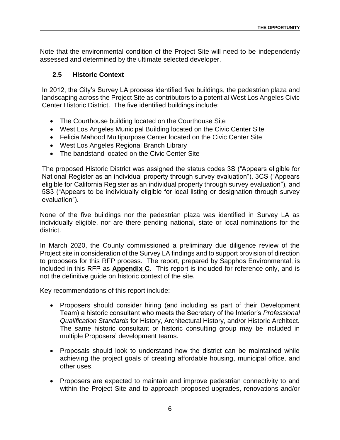Note that the environmental condition of the Project Site will need to be independently assessed and determined by the ultimate selected developer.

### <span id="page-13-0"></span>**2.5 Historic Context**

In 2012, the City's Survey LA process identified five buildings, the pedestrian plaza and landscaping across the Project Site as contributors to a potential West Los Angeles Civic Center Historic District. The five identified buildings include:

- The Courthouse building located on the Courthouse Site
- West Los Angeles Municipal Building located on the Civic Center Site
- Felicia Mahood Multipurpose Center located on the Civic Center Site
- West Los Angeles Regional Branch Library
- The bandstand located on the Civic Center Site

The proposed Historic District was assigned the status codes 3S ("Appears eligible for National Register as an individual property through survey evaluation"), 3CS ("Appears eligible for California Register as an individual property through survey evaluation"), and 5S3 ("Appears to be individually eligible for local listing or designation through survey evaluation").

None of the five buildings nor the pedestrian plaza was identified in Survey LA as individually eligible, nor are there pending national, state or local nominations for the district.

In March 2020, the County commissioned a preliminary due diligence review of the Project site in consideration of the Survey LA findings and to support provision of direction to proposers for this RFP process. The report, prepared by Sapphos Environmental, is included in this RFP as **Appendix C**. This report is included for reference only, and is not the definitive guide on historic context of the site.

Key recommendations of this report include:

- Proposers should consider hiring (and including as part of their Development Team) a historic consultant who meets the Secretary of the Interior's *Professional Qualification Standards* for History, Architectural History, and/or Historic Architect. The same historic consultant or historic consulting group may be included in multiple Proposers' development teams.
- Proposals should look to understand how the district can be maintained while achieving the project goals of creating affordable housing, municipal office, and other uses.
- Proposers are expected to maintain and improve pedestrian connectivity to and within the Project Site and to approach proposed upgrades, renovations and/or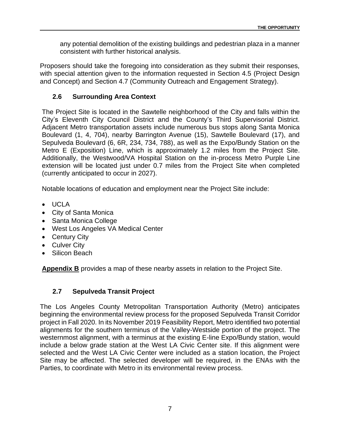any potential demolition of the existing buildings and pedestrian plaza in a manner consistent with further historical analysis.

Proposers should take the foregoing into consideration as they submit their responses, with special attention given to the information requested in Section 4.5 (Project Design and Concept) and Section 4.7 (Community Outreach and Engagement Strategy).

#### <span id="page-14-0"></span>**2.6 Surrounding Area Context**

The Project Site is located in the Sawtelle neighborhood of the City and falls within the City's Eleventh City Council District and the County's Third Supervisorial District. Adjacent Metro transportation assets include numerous bus stops along Santa Monica Boulevard (1, 4, 704), nearby Barrington Avenue (15), Sawtelle Boulevard (17), and Sepulveda Boulevard (6, 6R, 234, 734, 788), as well as the Expo/Bundy Station on the Metro E (Exposition) Line, which is approximately 1.2 miles from the Project Site. Additionally, the Westwood/VA Hospital Station on the in-process Metro Purple Line extension will be located just under 0.7 miles from the Project Site when completed (currently anticipated to occur in 2027).

Notable locations of education and employment near the Project Site include:

- UCLA
- City of Santa Monica
- Santa Monica College
- West Los Angeles VA Medical Center
- Century City
- Culver City
- Silicon Beach

**Appendix B** provides a map of these nearby assets in relation to the Project Site.

### <span id="page-14-1"></span>**2.7 Sepulveda Transit Project**

The Los Angeles County Metropolitan Transportation Authority (Metro) anticipates beginning the environmental review process for the proposed Sepulveda Transit Corridor project in Fall 2020. In its November 2019 Feasibility Report, Metro identified two potential alignments for the southern terminus of the Valley-Westside portion of the project. The westernmost alignment, with a terminus at the existing E-line Expo/Bundy station, would include a below grade station at the West LA Civic Center site. If this alignment were selected and the West LA Civic Center were included as a station location, the Project Site may be affected. The selected developer will be required, in the ENAs with the Parties, to coordinate with Metro in its environmental review process.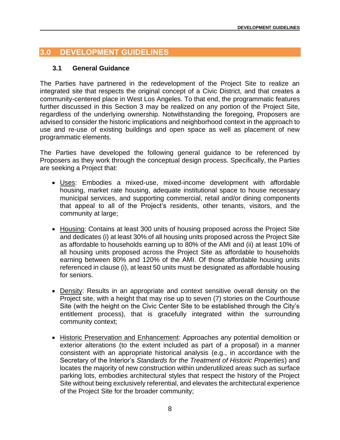### <span id="page-15-0"></span>**3.0 DEVELOPMENT GUIDELINES**

#### <span id="page-15-1"></span>**3.1 General Guidance**

The Parties have partnered in the redevelopment of the Project Site to realize an integrated site that respects the original concept of a Civic District, and that creates a community-centered place in West Los Angeles. To that end, the programmatic features further discussed in this Section 3 may be realized on any portion of the Project Site, regardless of the underlying ownership. Notwithstanding the foregoing, Proposers are advised to consider the historic implications and neighborhood context in the approach to use and re-use of existing buildings and open space as well as placement of new programmatic elements.

The Parties have developed the following general guidance to be referenced by Proposers as they work through the conceptual design process. Specifically, the Parties are seeking a Project that:

- Uses: Embodies a mixed-use, mixed-income development with affordable housing, market rate housing, adequate institutional space to house necessary municipal services, and supporting commercial, retail and/or dining components that appeal to all of the Project's residents, other tenants, visitors, and the community at large;
- Housing: Contains at least 300 units of housing proposed across the Project Site and dedicates (i) at least 30% of all housing units proposed across the Project Site as affordable to households earning up to 80% of the AMI and (ii) at least 10% of all housing units proposed across the Project Site as affordable to households earning between 80% and 120% of the AMI. Of those affordable housing units referenced in clause (i), at least 50 units must be designated as affordable housing for seniors.
- Density: Results in an appropriate and context sensitive overall density on the Project site, with a height that may rise up to seven (7) stories on the Courthouse Site (with the height on the Civic Center Site to be established through the City's entitlement process), that is gracefully integrated within the surrounding community context;
- Historic Preservation and Enhancement: Approaches any potential demolition or exterior alterations (to the extent included as part of a proposal) in a manner consistent with an appropriate historical analysis (e.g., in accordance with the Secretary of the Interior's *Standards for the Treatment of Historic Properties*) and locates the majority of new construction within underutilized areas such as surface parking lots, embodies architectural styles that respect the history of the Project Site without being exclusively referential, and elevates the architectural experience of the Project Site for the broader community;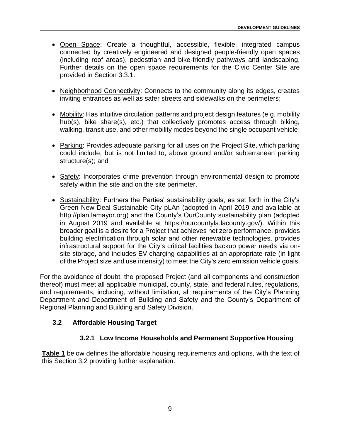- Open Space: Create a thoughtful, accessible, flexible, integrated campus connected by creatively engineered and designed people-friendly open spaces (including roof areas), pedestrian and bike-friendly pathways and landscaping. Further details on the open space requirements for the Civic Center Site are provided in Section 3.3.1.
- Neighborhood Connectivity: Connects to the community along its edges, creates inviting entrances as well as safer streets and sidewalks on the perimeters;
- Mobility: Has intuitive circulation patterns and project design features (e.g. mobility hub(s), bike share(s), etc.) that collectively promotes access through biking, walking, transit use, and other mobility modes beyond the single occupant vehicle;
- Parking: Provides adequate parking for all uses on the Project Site, which parking could include, but is not limited to, above ground and/or subterranean parking structure(s); and
- Safety: Incorporates crime prevention through environmental design to promote safety within the site and on the site perimeter.
- Sustainability: Furthers the Parties' sustainability goals, as set forth in the City's Green New Deal Sustainable City pLAn (adopted in April 2019 and available at http://plan.lamayor.org) and the County's OurCounty sustainability plan (adopted in August 2019 and available at https://ourcountyla.lacounty.gov/). Within this broader goal is a desire for a Project that achieves net zero performance, provides building electrification through solar and other renewable technologies, provides infrastructural support for the City's critical facilities backup power needs via onsite storage, and includes EV charging capabilities at an appropriate rate (in light of the Project size and use intensity) to meet the City's zero emission vehicle goals.

For the avoidance of doubt, the proposed Project (and all components and construction thereof) must meet all applicable municipal, county, state, and federal rules, regulations, and requirements, including, without limitation, all requirements of the City's Planning Department and Department of Building and Safety and the County's Department of Regional Planning and Building and Safety Division.

### <span id="page-16-0"></span>**3.2 Affordable Housing Target**

#### **3.2.1 Low Income Households and Permanent Supportive Housing**

**Table 1** below defines the affordable housing requirements and options, with the text of this Section 3.2 providing further explanation.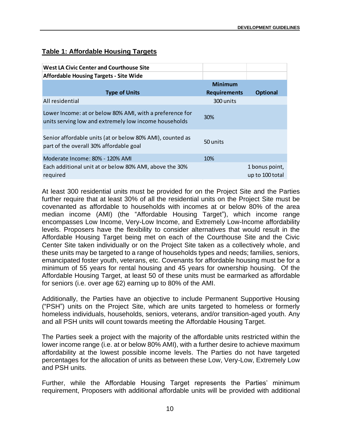### **Table 1: Affordable Housing Targets**

| West LA Civic Center and Courthouse Site                                                                          |                     |                                   |
|-------------------------------------------------------------------------------------------------------------------|---------------------|-----------------------------------|
| <b>Affordable Housing Targets - Site Wide</b>                                                                     |                     |                                   |
|                                                                                                                   | <b>Minimum</b>      |                                   |
| <b>Type of Units</b>                                                                                              | <b>Requirements</b> | <b>Optional</b>                   |
| All residential                                                                                                   | 300 units           |                                   |
| Lower Income: at or below 80% AMI, with a preference for<br>units serving low and extremely low income households | <b>30%</b>          |                                   |
| Senior affordable units (at or below 80% AMI), counted as<br>part of the overall 30% affordable goal              | 50 units            |                                   |
| Moderate Income: 80% - 120% AMI                                                                                   | 10%                 |                                   |
| Each additional unit at or below 80% AMI, above the 30%<br>required                                               |                     | 1 bonus point,<br>up to 100 total |

At least 300 residential units must be provided for on the Project Site and the Parties further require that at least 30% of all the residential units on the Project Site must be covenanted as affordable to households with incomes at or below 80% of the area median income (AMI) (the "Affordable Housing Target"), which income range encompasses Low Income, Very-Low Income, and Extremely Low-Income affordability levels. Proposers have the flexibility to consider alternatives that would result in the Affordable Housing Target being met on each of the Courthouse Site and the Civic Center Site taken individually or on the Project Site taken as a collectively whole, and these units may be targeted to a range of households types and needs; families, seniors, emancipated foster youth, veterans, etc. Covenants for affordable housing must be for a minimum of 55 years for rental housing and 45 years for ownership housing. Of the Affordable Housing Target, at least 50 of these units must be earmarked as affordable for seniors (i.e. over age 62) earning up to 80% of the AMI.

Additionally, the Parties have an objective to include Permanent Supportive Housing ("PSH") units on the Project Site, which are units targeted to homeless or formerly homeless individuals, households, seniors, veterans, and/or transition-aged youth. Any and all PSH units will count towards meeting the Affordable Housing Target.

The Parties seek a project with the majority of the affordable units restricted within the lower income range (i.e. at or below 80% AMI), with a further desire to achieve maximum affordability at the lowest possible income levels. The Parties do not have targeted percentages for the allocation of units as between these Low, Very-Low, Extremely Low and PSH units.

Further, while the Affordable Housing Target represents the Parties' minimum requirement, Proposers with additional affordable units will be provided with additional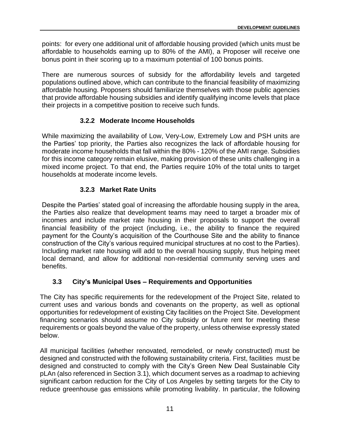points: for every one additional unit of affordable housing provided (which units must be affordable to households earning up to 80% of the AMI), a Proposer will receive one bonus point in their scoring up to a maximum potential of 100 bonus points.

There are numerous sources of subsidy for the affordability levels and targeted populations outlined above, which can contribute to the financial feasibility of maximizing affordable housing. Proposers should familiarize themselves with those public agencies that provide affordable housing subsidies and identify qualifying income levels that place their projects in a competitive position to receive such funds.

### **3.2.2 Moderate Income Households**

While maximizing the availability of Low, Very-Low, Extremely Low and PSH units are the Parties' top priority, the Parties also recognizes the lack of affordable housing for moderate income households that fall within the 80% - 120% of the AMI range. Subsidies for this income category remain elusive, making provision of these units challenging in a mixed income project. To that end, the Parties require 10% of the total units to target households at moderate income levels.

#### **3.2.3 Market Rate Units**

Despite the Parties' stated goal of increasing the affordable housing supply in the area, the Parties also realize that development teams may need to target a broader mix of incomes and include market rate housing in their proposals to support the overall financial feasibility of the project (including, i.e., the ability to finance the required payment for the County's acquisition of the Courthouse Site and the ability to finance construction of the City's various required municipal structures at no cost to the Parties). Including market rate housing will add to the overall housing supply, thus helping meet local demand, and allow for additional non-residential community serving uses and benefits.

### <span id="page-18-0"></span>**3.3 City's Municipal Uses – Requirements and Opportunities**

The City has specific requirements for the redevelopment of the Project Site, related to current uses and various bonds and covenants on the property, as well as optional opportunities for redevelopment of existing City facilities on the Project Site. Development financing scenarios should assume no City subsidy or future rent for meeting these requirements or goals beyond the value of the property, unless otherwise expressly stated below.

All municipal facilities (whether renovated, remodeled, or newly constructed) must be designed and constructed with the following sustainability criteria. First, facilities must be designed and constructed to comply with the City's Green New Deal Sustainable City pLAn (also referenced in Section 3.1), which document serves as a roadmap to achieving significant carbon reduction for the City of Los Angeles by setting targets for the City to reduce greenhouse gas emissions while promoting livability. In particular, the following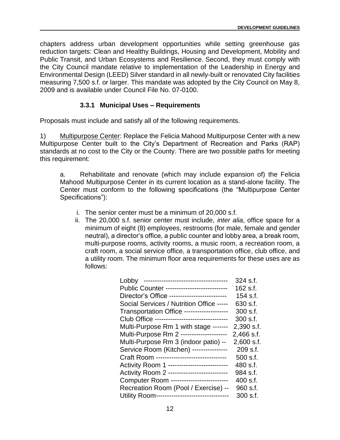chapters address urban development opportunities while setting greenhouse gas reduction targets: Clean and Healthy Buildings, Housing and Development, Mobility and Public Transit, and Urban Ecosystems and Resilience. Second, they must comply with the City Council mandate relative to implementation of the Leadership in Energy and Environmental Design (LEED) Silver standard in all newly-built or renovated City facilities measuring 7,500 s.f. or larger. This mandate was adopted by the City Council on May 8, 2009 and is available under Council File No. 07-0100.

### **3.3.1 Municipal Uses – Requirements**

Proposals must include and satisfy all of the following requirements.

1) Multipurpose Center: Replace the Felicia Mahood Multipurpose Center with a new Multipurpose Center built to the City's Department of Recreation and Parks (RAP) standards at no cost to the City or the County. There are two possible paths for meeting this requirement:

a. Rehabilitate and renovate (which may include expansion of) the Felicia Mahood Multipurpose Center in its current location as a stand-alone facility. The Center must conform to the following specifications (the "Multipurpose Center Specifications"):

- i. The senior center must be a minimum of 20,000 s.f.
- ii. The 20,000 s.f. senior center must include, *inter alia*, office space for a minimum of eight (8) employees, restrooms (for male, female and gender neutral), a director's office, a public counter and lobby area, a break room, multi-purpose rooms, activity rooms, a music room, a recreation room, a craft room, a social service office, a transportation office, club office, and a utility room. The minimum floor area requirements for these uses are as follows:

| -------------------------------------<br>Lobby | 324 s.f.   |
|------------------------------------------------|------------|
| Public Counter ---------------------------     | 162 s.f.   |
| Director's Office --------------------------   | 154 s.f.   |
| Social Services / Nutrition Office -----       | 630 s.f.   |
| Transportation Office -------------------      | 300 s.f.   |
| Club Office --------------------------------   | $300$ s.f. |
| Multi-Purpose Rm 1 with stage -------          | 2,390 s.f. |
| Multi-Purpose Rm 2 --------------------        | 2,466 s.f. |
| Multi-Purpose Rm 3 (indoor patio) --           | 2,600 s.f. |
| Service Room (Kitchen) ----------------        | 209 s.f.   |
| Craft Room --------------------------------    | 500 s.f.   |
| Activity Room 1 --------------------------     | 480 s.f.   |
| Activity Room 2 --------------------------     | 984 s.f.   |
| Computer Room -------------------------        | 400 s.f.   |
| Recreation Room (Pool / Exercise) --           | 960 s.f.   |
| Utility Room---------------------------------  | 300 s.f.   |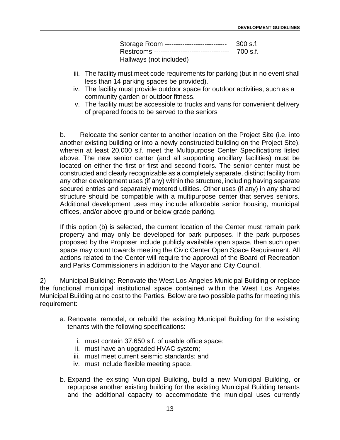| Storage Room ---------------------------     | 300 s.f. |
|----------------------------------------------|----------|
| Restrooms ---------------------------------- | 700 s.f. |
| Hallways (not included)                      |          |

- iii. The facility must meet code requirements for parking (but in no event shall less than 14 parking spaces be provided).
- iv. The facility must provide outdoor space for outdoor activities, such as a community garden or outdoor fitness.
- v. The facility must be accessible to trucks and vans for convenient delivery of prepared foods to be served to the seniors

b. Relocate the senior center to another location on the Project Site (i.e. into another existing building or into a newly constructed building on the Project Site), wherein at least 20,000 s.f. meet the Multipurpose Center Specifications listed above. The new senior center (and all supporting ancillary facilities) must be located on either the first or first and second floors. The senior center must be constructed and clearly recognizable as a completely separate, distinct facility from any other development uses (if any) within the structure, including having separate secured entries and separately metered utilities. Other uses (if any) in any shared structure should be compatible with a multipurpose center that serves seniors. Additional development uses may include affordable senior housing, municipal offices, and/or above ground or below grade parking.

If this option (b) is selected, the current location of the Center must remain park property and may only be developed for park purposes. If the park purposes proposed by the Proposer include publicly available open space, then such open space may count towards meeting the Civic Center Open Space Requirement. All actions related to the Center will require the approval of the Board of Recreation and Parks Commissioners in addition to the Mayor and City Council.

2) Municipal Building: Renovate the West Los Angeles Municipal Building or replace the functional municipal institutional space contained within the West Los Angeles Municipal Building at no cost to the Parties. Below are two possible paths for meeting this requirement:

- a. Renovate, remodel, or rebuild the existing Municipal Building for the existing tenants with the following specifications:
	- i. must contain 37,650 s.f. of usable office space;
	- ii. must have an upgraded HVAC system;
	- iii. must meet current seismic standards; and
	- iv. must include flexible meeting space.
- b. Expand the existing Municipal Building, build a new Municipal Building, or repurpose another existing building for the existing Municipal Building tenants and the additional capacity to accommodate the municipal uses currently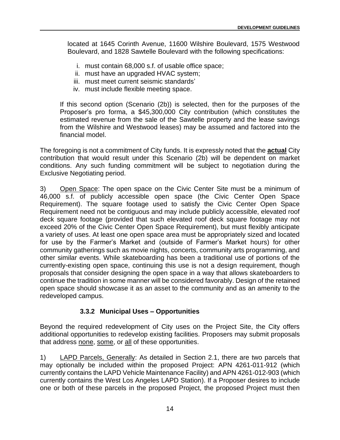located at 1645 Corinth Avenue, 11600 Wilshire Boulevard, 1575 Westwood Boulevard, and 1828 Sawtelle Boulevard with the following specifications:

- i. must contain 68,000 s.f. of usable office space;
- ii. must have an upgraded HVAC system;
- iii. must meet current seismic standards'
- iv. must include flexible meeting space.

If this second option (Scenario (2b)) is selected, then for the purposes of the Proposer's pro forma, a \$45,300,000 City contribution (which constitutes the estimated revenue from the sale of the Sawtelle property and the lease savings from the Wilshire and Westwood leases) may be assumed and factored into the financial model.

The foregoing is not a commitment of City funds. It is expressly noted that the **actual** City contribution that would result under this Scenario (2b) will be dependent on market conditions. Any such funding commitment will be subject to negotiation during the Exclusive Negotiating period.

3) Open Space: The open space on the Civic Center Site must be a minimum of 46,000 s.f. of publicly accessible open space (the Civic Center Open Space Requirement). The square footage used to satisfy the Civic Center Open Space Requirement need not be contiguous and may include publicly accessible, elevated roof deck square footage (provided that such elevated roof deck square footage may not exceed 20% of the Civic Center Open Space Requirement), but must flexibly anticipate a variety of uses. At least one open space area must be appropriately sized and located for use by the Farmer's Market and (outside of Farmer's Market hours) for other community gatherings such as movie nights, concerts, community arts programming, and other similar events. While skateboarding has been a traditional use of portions of the currently-existing open space, continuing this use is not a design requirement, though proposals that consider designing the open space in a way that allows skateboarders to continue the tradition in some manner will be considered favorably. Design of the retained open space should showcase it as an asset to the community and as an amenity to the redeveloped campus.

#### **3.3.2 Municipal Uses – Opportunities**

Beyond the required redevelopment of City uses on the Project Site, the City offers additional opportunities to redevelop existing facilities. Proposers may submit proposals that address none, some, or all of these opportunities.

1) LAPD Parcels, Generally: As detailed in Section 2.1, there are two parcels that may optionally be included within the proposed Project: APN 4261-011-912 (which currently contains the LAPD Vehicle Maintenance Facility) and APN 4261-012-903 (which currently contains the West Los Angeles LAPD Station). If a Proposer desires to include one or both of these parcels in the proposed Project, the proposed Project must then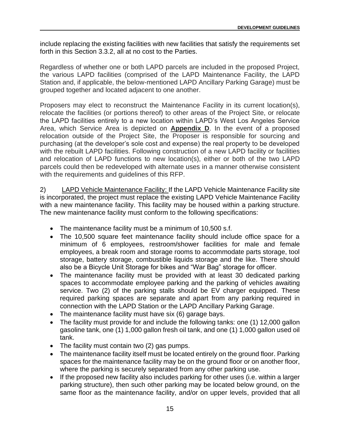include replacing the existing facilities with new facilities that satisfy the requirements set forth in this Section 3.3.2, all at no cost to the Parties.

Regardless of whether one or both LAPD parcels are included in the proposed Project, the various LAPD facilities (comprised of the LAPD Maintenance Facility, the LAPD Station and, if applicable, the below-mentioned LAPD Ancillary Parking Garage) must be grouped together and located adjacent to one another.

Proposers may elect to reconstruct the Maintenance Facility in its current location(s), relocate the facilities (or portions thereof) to other areas of the Project Site, or relocate the LAPD facilities entirely to a new location within LAPD's West Los Angeles Service Area, which Service Area is depicted on **Appendix D**. In the event of a proposed relocation outside of the Project Site, the Proposer is responsible for sourcing and purchasing (at the developer's sole cost and expense) the real property to be developed with the rebuilt LAPD facilities. Following construction of a new LAPD facility or facilities and relocation of LAPD functions to new location(s), either or both of the two LAPD parcels could then be redeveloped with alternate uses in a manner otherwise consistent with the requirements and guidelines of this RFP.

2) LAPD Vehicle Maintenance Facility: If the LAPD Vehicle Maintenance Facility site is incorporated, the project must replace the existing LAPD Vehicle Maintenance Facility with a new maintenance facility. This facility may be housed within a parking structure. The new maintenance facility must conform to the following specifications:

- The maintenance facility must be a minimum of 10,500 s.f.
- The 10,500 square feet maintenance facility should include office space for a minimum of 6 employees, restroom/shower facilities for male and female employees, a break room and storage rooms to accommodate parts storage, tool storage, battery storage, combustible liquids storage and the like. There should also be a Bicycle Unit Storage for bikes and "War Bag" storage for officer.
- The maintenance facility must be provided with at least 30 dedicated parking spaces to accommodate employee parking and the parking of vehicles awaiting service. Two (2) of the parking stalls should be EV charger equipped. These required parking spaces are separate and apart from any parking required in connection with the LAPD Station or the LAPD Ancillary Parking Garage.
- The maintenance facility must have six (6) garage bays.
- The facility must provide for and include the following tanks: one (1) 12,000 gallon gasoline tank, one (1) 1,000 gallon fresh oil tank, and one (1) 1,000 gallon used oil tank.
- The facility must contain two (2) gas pumps.
- The maintenance facility itself must be located entirely on the ground floor. Parking spaces for the maintenance facility may be on the ground floor or on another floor, where the parking is securely separated from any other parking use.
- If the proposed new facility also includes parking for other uses (i.e. within a larger parking structure), then such other parking may be located below ground, on the same floor as the maintenance facility, and/or on upper levels, provided that all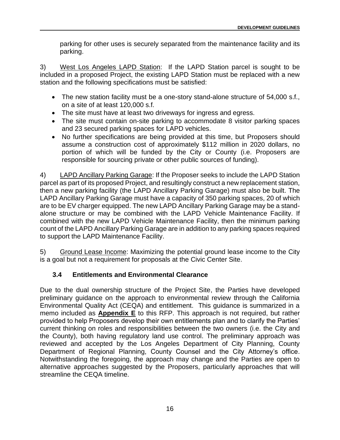parking for other uses is securely separated from the maintenance facility and its parking.

3) West Los Angeles LAPD Station: If the LAPD Station parcel is sought to be included in a proposed Project, the existing LAPD Station must be replaced with a new station and the following specifications must be satisfied:

- The new station facility must be a one-story stand-alone structure of 54,000 s.f., on a site of at least 120,000 s.f.
- The site must have at least two driveways for ingress and egress.
- The site must contain on-site parking to accommodate 8 visitor parking spaces and 23 secured parking spaces for LAPD vehicles.
- No further specifications are being provided at this time, but Proposers should assume a construction cost of approximately \$112 million in 2020 dollars, no portion of which will be funded by the City or County (i.e. Proposers are responsible for sourcing private or other public sources of funding).

4) LAPD Ancillary Parking Garage: If the Proposer seeks to include the LAPD Station parcel as part of its proposed Project, and resultingly construct a new replacement station, then a new parking facility (the LAPD Ancillary Parking Garage) must also be built. The LAPD Ancillary Parking Garage must have a capacity of 350 parking spaces, 20 of which are to be EV charger equipped. The new LAPD Ancillary Parking Garage may be a standalone structure or may be combined with the LAPD Vehicle Maintenance Facility. If combined with the new LAPD Vehicle Maintenance Facility, then the minimum parking count of the LAPD Ancillary Parking Garage are in addition to any parking spaces required to support the LAPD Maintenance Facility.

5) Ground Lease Income: Maximizing the potential ground lease income to the City is a goal but not a requirement for proposals at the Civic Center Site.

### <span id="page-23-0"></span>**3.4 Entitlements and Environmental Clearance**

Due to the dual ownership structure of the Project Site, the Parties have developed preliminary guidance on the approach to environmental review through the California Environmental Quality Act (CEQA) and entitlement. This guidance is summarized in a memo included as **Appendix E** to this RFP. This approach is not required, but rather provided to help Proposers develop their own entitlements plan and to clarify the Parties' current thinking on roles and responsibilities between the two owners (i.e. the City and the County), both having regulatory land use control. The preliminary approach was reviewed and accepted by the Los Angeles Department of City Planning, County Department of Regional Planning, County Counsel and the City Attorney's office. Notwithstanding the foregoing, the approach may change and the Parties are open to alternative approaches suggested by the Proposers, particularly approaches that will streamline the CEQA timeline.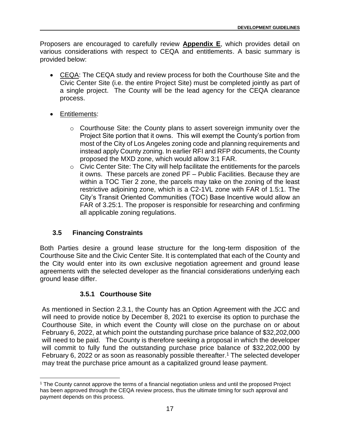Proposers are encouraged to carefully review **Appendix E**, which provides detail on various considerations with respect to CEQA and entitlements. A basic summary is provided below:

- CEQA: The CEQA study and review process for both the Courthouse Site and the Civic Center Site (i.e. the entire Project Site) must be completed jointly as part of a single project. The County will be the lead agency for the CEQA clearance process.
- Entitlements:
	- o Courthouse Site: the County plans to assert sovereign immunity over the Project Site portion that it owns. This will exempt the County's portion from most of the City of Los Angeles zoning code and planning requirements and instead apply County zoning. In earlier RFI and RFP documents, the County proposed the MXD zone, which would allow 3:1 FAR.
	- o Civic Center Site: The City will help facilitate the entitlements for the parcels it owns. These parcels are zoned PF – Public Facilities. Because they are within a TOC Tier 2 zone, the parcels may take on the zoning of the least restrictive adjoining zone, which is a C2-1VL zone with FAR of 1.5:1. The City's Transit Oriented Communities (TOC) Base Incentive would allow an FAR of 3.25:1. The proposer is responsible for researching and confirming all applicable zoning regulations.

### <span id="page-24-0"></span>**3.5 Financing Constraints**

Both Parties desire a ground lease structure for the long-term disposition of the Courthouse Site and the Civic Center Site. It is contemplated that each of the County and the City would enter into its own exclusive negotiation agreement and ground lease agreements with the selected developer as the financial considerations underlying each ground lease differ.

### **3.5.1 Courthouse Site**

As mentioned in Section 2.3.1, the County has an Option Agreement with the JCC and will need to provide notice by December 8, 2021 to exercise its option to purchase the Courthouse Site, in which event the County will close on the purchase on or about February 6, 2022, at which point the outstanding purchase price balance of \$32,202,000 will need to be paid. The County is therefore seeking a proposal in which the developer will commit to fully fund the outstanding purchase price balance of \$32,202,000 by February 6, 2022 or as soon as reasonably possible thereafter. <sup>1</sup> The selected developer may treat the purchase price amount as a capitalized ground lease payment.

<sup>1</sup> The County cannot approve the terms of a financial negotiation unless and until the proposed Project has been approved through the CEQA review process, thus the ultimate timing for such approval and payment depends on this process.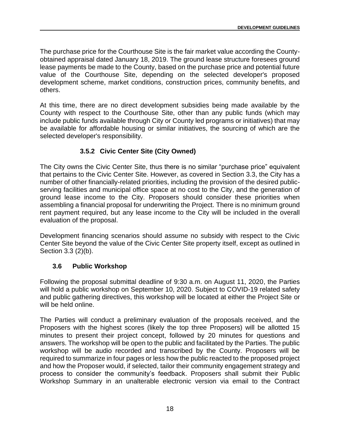The purchase price for the Courthouse Site is the fair market value according the Countyobtained appraisal dated January 18, 2019. The ground lease structure foresees ground lease payments be made to the County, based on the purchase price and potential future value of the Courthouse Site, depending on the selected developer's proposed development scheme, market conditions, construction prices, community benefits, and others.

At this time, there are no direct development subsidies being made available by the County with respect to the Courthouse Site, other than any public funds (which may include public funds available through City or County led programs or initiatives) that may be available for affordable housing or similar initiatives, the sourcing of which are the selected developer's responsibility.

#### **3.5.2 Civic Center Site (City Owned)**

The City owns the Civic Center Site, thus there is no similar "purchase price" equivalent that pertains to the Civic Center Site. However, as covered in Section 3.3, the City has a number of other financially-related priorities, including the provision of the desired publicserving facilities and municipal office space at no cost to the City, and the generation of ground lease income to the City. Proposers should consider these priorities when assembling a financial proposal for underwriting the Project. There is no minimum ground rent payment required, but any lease income to the City will be included in the overall evaluation of the proposal.

Development financing scenarios should assume no subsidy with respect to the Civic Center Site beyond the value of the Civic Center Site property itself, except as outlined in Section 3.3 (2)(b).

#### <span id="page-25-0"></span>**3.6 Public Workshop**

Following the proposal submittal deadline of 9:30 a.m. on August 11, 2020, the Parties will hold a public workshop on September 10, 2020. Subject to COVID-19 related safety and public gathering directives, this workshop will be located at either the Project Site or will be held online.

The Parties will conduct a preliminary evaluation of the proposals received, and the Proposers with the highest scores (likely the top three Proposers) will be allotted 15 minutes to present their project concept, followed by 20 minutes for questions and answers. The workshop will be open to the public and facilitated by the Parties. The public workshop will be audio recorded and transcribed by the County. Proposers will be required to summarize in four pages or less how the public reacted to the proposed project and how the Proposer would, if selected, tailor their community engagement strategy and process to consider the community's feedback. Proposers shall submit their Public Workshop Summary in an unalterable electronic version via email to the Contract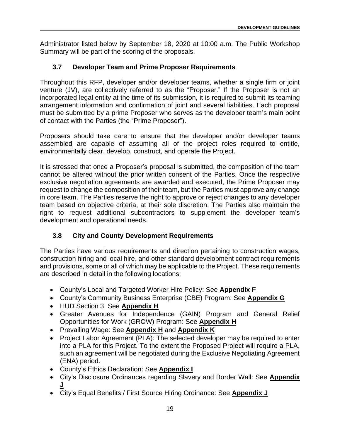Administrator listed below by September 18, 2020 at 10:00 a.m. The Public Workshop Summary will be part of the scoring of the proposals.

### <span id="page-26-0"></span>**3.7 Developer Team and Prime Proposer Requirements**

Throughout this RFP, developer and/or developer teams, whether a single firm or joint venture (JV), are collectively referred to as the "Proposer." If the Proposer is not an incorporated legal entity at the time of its submission, it is required to submit its teaming arrangement information and confirmation of joint and several liabilities. Each proposal must be submitted by a prime Proposer who serves as the developer team's main point of contact with the Parties (the "Prime Proposer").

Proposers should take care to ensure that the developer and/or developer teams assembled are capable of assuming all of the project roles required to entitle, environmentally clear, develop, construct, and operate the Project.

It is stressed that once a Proposer's proposal is submitted, the composition of the team cannot be altered without the prior written consent of the Parties. Once the respective exclusive negotiation agreements are awarded and executed, the Prime Proposer may request to change the composition of their team, but the Parties must approve any change in core team. The Parties reserve the right to approve or reject changes to any developer team based on objective criteria, at their sole discretion. The Parties also maintain the right to request additional subcontractors to supplement the developer team's development and operational needs.

### <span id="page-26-1"></span>**3.8 City and County Development Requirements**

The Parties have various requirements and direction pertaining to construction wages, construction hiring and local hire, and other standard development contract requirements and provisions, some or all of which may be applicable to the Project. These requirements are described in detail in the following locations:

- County's Local and Targeted Worker Hire Policy: See **Appendix F**
- County's Community Business Enterprise (CBE) Program: See **Appendix G**
- HUD Section 3: See **Appendix H**
- Greater Avenues for Independence (GAIN) Program and General Relief Opportunities for Work (GROW) Program: See **Appendix H**
- Prevailing Wage: See **Appendix H** and **Appendix K**
- Project Labor Agreement (PLA): The selected developer may be required to enter into a PLA for this Project. To the extent the Proposed Project will require a PLA, such an agreement will be negotiated during the Exclusive Negotiating Agreement (ENA) period.
- County's Ethics Declaration: See **Appendix I**
- City's Disclosure Ordinances regarding Slavery and Border Wall: See **Appendix J**
- City's Equal Benefits / First Source Hiring Ordinance: See **Appendix J**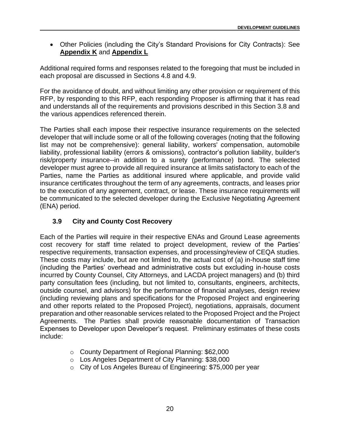• Other Policies (including the City's Standard Provisions for City Contracts): See **Appendix K** and **Appendix L**

Additional required forms and responses related to the foregoing that must be included in each proposal are discussed in Sections 4.8 and 4.9.

For the avoidance of doubt, and without limiting any other provision or requirement of this RFP, by responding to this RFP, each responding Proposer is affirming that it has read and understands all of the requirements and provisions described in this Section 3.8 and the various appendices referenced therein.

The Parties shall each impose their respective insurance requirements on the selected developer that will include some or all of the following coverages (noting that the following list may not be comprehensive): general liability, workers' compensation, automobile liability, professional liability (errors & omissions), contractor's pollution liability, builder's risk/property insurance--in addition to a surety (performance) bond. The selected developer must agree to provide all required insurance at limits satisfactory to each of the Parties, name the Parties as additional insured where applicable, and provide valid insurance certificates throughout the term of any agreements, contracts, and leases prior to the execution of any agreement, contract, or lease. These insurance requirements will be communicated to the selected developer during the Exclusive Negotiating Agreement (ENA) period.

### <span id="page-27-0"></span>**3.9 City and County Cost Recovery**

Each of the Parties will require in their respective ENAs and Ground Lease agreements cost recovery for staff time related to project development, review of the Parties' respective requirements, transaction expenses, and processing/review of CEQA studies. These costs may include, but are not limited to, the actual cost of (a) in-house staff time (including the Parties' overhead and administrative costs but excluding in-house costs incurred by County Counsel, City Attorneys, and LACDA project managers) and (b) third party consultation fees (including, but not limited to, consultants, engineers, architects, outside counsel, and advisors) for the performance of financial analyses, design review (including reviewing plans and specifications for the Proposed Project and engineering and other reports related to the Proposed Project), negotiations, appraisals, document preparation and other reasonable services related to the Proposed Project and the Project Agreements. The Parties shall provide reasonable documentation of Transaction Expenses to Developer upon Developer's request. Preliminary estimates of these costs include:

- o County Department of Regional Planning: \$62,000
- o Los Angeles Department of City Planning: \$38,000
- o City of Los Angeles Bureau of Engineering: \$75,000 per year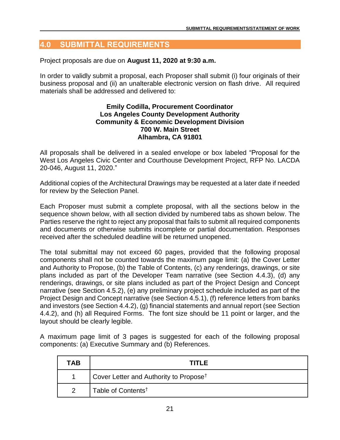### <span id="page-28-0"></span>**4.0 SUBMITTAL REQUIREMENTS**

Project proposals are due on **August 11, 2020 at 9:30 a.m.** 

In order to validly submit a proposal, each Proposer shall submit (i) four originals of their business proposal and (ii) an unalterable electronic version on flash drive. All required materials shall be addressed and delivered to:

#### **Emily Codilla, Procurement Coordinator Los Angeles County Development Authority Community & Economic Development Division 700 W. Main Street Alhambra, CA 91801**

All proposals shall be delivered in a sealed envelope or box labeled "Proposal for the West Los Angeles Civic Center and Courthouse Development Project, RFP No. LACDA 20-046, August 11, 2020."

Additional copies of the Architectural Drawings may be requested at a later date if needed for review by the Selection Panel.

Each Proposer must submit a complete proposal, with all the sections below in the sequence shown below, with all section divided by numbered tabs as shown below. The Parties reserve the right to reject any proposal that fails to submit all required components and documents or otherwise submits incomplete or partial documentation. Responses received after the scheduled deadline will be returned unopened.

The total submittal may not exceed 60 pages, provided that the following proposal components shall not be counted towards the maximum page limit: (a) the Cover Letter and Authority to Propose, (b) the Table of Contents, (c) any renderings, drawings, or site plans included as part of the Developer Team narrative (see Section 4.4.3), (d) any renderings, drawings, or site plans included as part of the Project Design and Concept narrative (see Section 4.5.2), (e) any preliminary project schedule included as part of the Project Design and Concept narrative (see Section 4.5.1), (f) reference letters from banks and investors (see Section 4.4.2), (g) financial statements and annual report (see Section 4.4.2), and (h) all Required Forms. The font size should be 11 point or larger, and the layout should be clearly legible.

A maximum page limit of 3 pages is suggested for each of the following proposal components: (a) Executive Summary and (b) References.

| TAB           | <b>TITLE</b>                                       |
|---------------|----------------------------------------------------|
|               | Cover Letter and Authority to Propose <sup>†</sup> |
| $\mathcal{P}$ | Table of Contents <sup>†</sup>                     |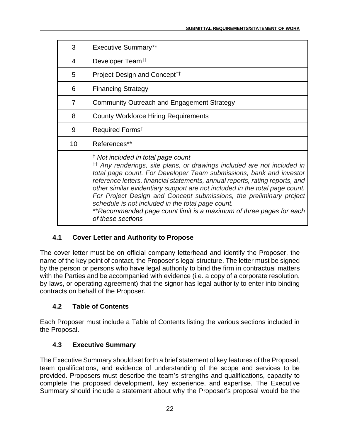| 3  | <b>Executive Summary**</b>                                                                                                                                                                                                                                                                                                                                                                                                                                                                                                                                                                         |
|----|----------------------------------------------------------------------------------------------------------------------------------------------------------------------------------------------------------------------------------------------------------------------------------------------------------------------------------------------------------------------------------------------------------------------------------------------------------------------------------------------------------------------------------------------------------------------------------------------------|
| 4  | Developer Team <sup>††</sup>                                                                                                                                                                                                                                                                                                                                                                                                                                                                                                                                                                       |
| 5  | Project Design and Concept <sup>††</sup>                                                                                                                                                                                                                                                                                                                                                                                                                                                                                                                                                           |
| 6  | <b>Financing Strategy</b>                                                                                                                                                                                                                                                                                                                                                                                                                                                                                                                                                                          |
| 7  | <b>Community Outreach and Engagement Strategy</b>                                                                                                                                                                                                                                                                                                                                                                                                                                                                                                                                                  |
| 8  | <b>County Workforce Hiring Requirements</b>                                                                                                                                                                                                                                                                                                                                                                                                                                                                                                                                                        |
| 9  | Required Forms <sup>t</sup>                                                                                                                                                                                                                                                                                                                                                                                                                                                                                                                                                                        |
| 10 | References**                                                                                                                                                                                                                                                                                                                                                                                                                                                                                                                                                                                       |
|    | <sup>†</sup> Not included in total page count<br><sup>tt</sup> Any renderings, site plans, or drawings included are not included in<br>total page count. For Developer Team submissions, bank and investor<br>reference letters, financial statements, annual reports, rating reports, and<br>other similar evidentiary support are not included in the total page count.<br>For Project Design and Concept submissions, the preliminary project<br>schedule is not included in the total page count.<br>** Recommended page count limit is a maximum of three pages for each<br>of these sections |

### <span id="page-29-0"></span>**4.1 Cover Letter and Authority to Propose**

The cover letter must be on official company letterhead and identify the Proposer, the name of the key point of contact, the Proposer's legal structure. The letter must be signed by the person or persons who have legal authority to bind the firm in contractual matters with the Parties and be accompanied with evidence (i.e. a copy of a corporate resolution, by-laws, or operating agreement) that the signor has legal authority to enter into binding contracts on behalf of the Proposer.

### <span id="page-29-1"></span>**4.2 Table of Contents**

Each Proposer must include a Table of Contents listing the various sections included in the Proposal.

### <span id="page-29-2"></span>**4.3 Executive Summary**

The Executive Summary should set forth a brief statement of key features of the Proposal, team qualifications, and evidence of understanding of the scope and services to be provided. Proposers must describe the team's strengths and qualifications, capacity to complete the proposed development, key experience, and expertise. The Executive Summary should include a statement about why the Proposer's proposal would be the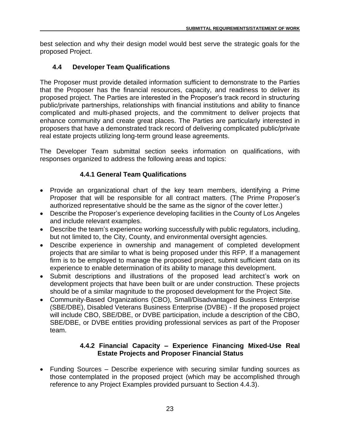best selection and why their design model would best serve the strategic goals for the proposed Project.

### <span id="page-30-0"></span>**4.4 Developer Team Qualifications**

The Proposer must provide detailed information sufficient to demonstrate to the Parties that the Proposer has the financial resources, capacity, and readiness to deliver its proposed project. The Parties are interested in the Proposer's track record in structuring public/private partnerships, relationships with financial institutions and ability to finance complicated and multi-phased projects, and the commitment to deliver projects that enhance community and create great places. The Parties are particularly interested in proposers that have a demonstrated track record of delivering complicated public/private real estate projects utilizing long-term ground lease agreements.

The Developer Team submittal section seeks information on qualifications, with responses organized to address the following areas and topics:

### **4.4.1 General Team Qualifications**

- Provide an organizational chart of the key team members, identifying a Prime Proposer that will be responsible for all contract matters. (The Prime Proposer's authorized representative should be the same as the signor of the cover letter.)
- Describe the Proposer's experience developing facilities in the County of Los Angeles and include relevant examples.
- Describe the team's experience working successfully with public regulators, including, but not limited to, the City, County, and environmental oversight agencies.
- Describe experience in ownership and management of completed development projects that are similar to what is being proposed under this RFP. If a management firm is to be employed to manage the proposed project, submit sufficient data on its experience to enable determination of its ability to manage this development.
- Submit descriptions and illustrations of the proposed lead architect's work on development projects that have been built or are under construction. These projects should be of a similar magnitude to the proposed development for the Project Site.
- Community-Based Organizations (CBO), Small/Disadvantaged Business Enterprise (SBE/DBE), Disabled Veterans Business Enterprise (DVBE) - If the proposed project will include CBO, SBE/DBE, or DVBE participation, include a description of the CBO, SBE/DBE, or DVBE entities providing professional services as part of the Proposer team.

### **4.4.2 Financial Capacity – Experience Financing Mixed-Use Real Estate Projects and Proposer Financial Status**

• Funding Sources – Describe experience with securing similar funding sources as those contemplated in the proposed project (which may be accomplished through reference to any Project Examples provided pursuant to Section 4.4.3).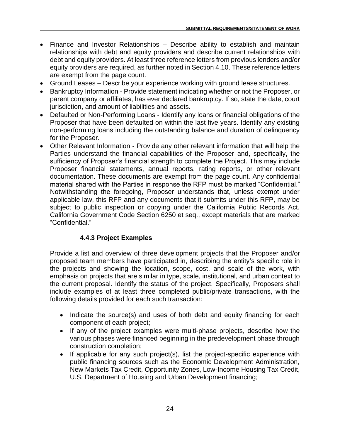- Finance and Investor Relationships Describe ability to establish and maintain relationships with debt and equity providers and describe current relationships with debt and equity providers. At least three reference letters from previous lenders and/or equity providers are required, as further noted in Section 4.10. These reference letters are exempt from the page count.
- Ground Leases Describe your experience working with ground lease structures.
- Bankruptcy Information Provide statement indicating whether or not the Proposer, or parent company or affiliates, has ever declared bankruptcy. If so, state the date, court jurisdiction, and amount of liabilities and assets.
- Defaulted or Non-Performing Loans Identify any loans or financial obligations of the Proposer that have been defaulted on within the last five years. Identify any existing non-performing loans including the outstanding balance and duration of delinquency for the Proposer.
- Other Relevant Information Provide any other relevant information that will help the Parties understand the financial capabilities of the Proposer and, specifically, the sufficiency of Proposer's financial strength to complete the Project. This may include Proposer financial statements, annual reports, rating reports, or other relevant documentation. These documents are exempt from the page count. Any confidential material shared with the Parties in response the RFP must be marked "Confidential." Notwithstanding the foregoing, Proposer understands that, unless exempt under applicable law, this RFP and any documents that it submits under this RFP, may be subject to public inspection or copying under the California Public Records Act, California Government Code Section 6250 et seq., except materials that are marked "Confidential."

### **4.4.3 Project Examples**

Provide a list and overview of three development projects that the Proposer and/or proposed team members have participated in, describing the entity's specific role in the projects and showing the location, scope, cost, and scale of the work, with emphasis on projects that are similar in type, scale, institutional, and urban context to the current proposal. Identify the status of the project. Specifically, Proposers shall include examples of at least three completed public/private transactions, with the following details provided for each such transaction:

- Indicate the source(s) and uses of both debt and equity financing for each component of each project;
- If any of the project examples were multi-phase projects, describe how the various phases were financed beginning in the predevelopment phase through construction completion;
- If applicable for any such project(s), list the project-specific experience with public financing sources such as the Economic Development Administration, New Markets Tax Credit, Opportunity Zones, Low-Income Housing Tax Credit, U.S. Department of Housing and Urban Development financing;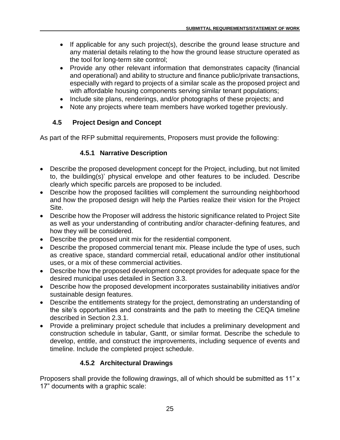- If applicable for any such project(s), describe the ground lease structure and any material details relating to the how the ground lease structure operated as the tool for long-term site control;
- Provide any other relevant information that demonstrates capacity (financial and operational) and ability to structure and finance public/private transactions, especially with regard to projects of a similar scale as the proposed project and with affordable housing components serving similar tenant populations;
- Include site plans, renderings, and/or photographs of these projects; and
- Note any projects where team members have worked together previously.

### <span id="page-32-0"></span>**4.5 Project Design and Concept**

As part of the RFP submittal requirements, Proposers must provide the following:

### **4.5.1 Narrative Description**

- Describe the proposed development concept for the Project, including, but not limited to, the building(s)' physical envelope and other features to be included. Describe clearly which specific parcels are proposed to be included.
- Describe how the proposed facilities will complement the surrounding neighborhood and how the proposed design will help the Parties realize their vision for the Project Site.
- Describe how the Proposer will address the historic significance related to Project Site as well as your understanding of contributing and/or character-defining features, and how they will be considered.
- Describe the proposed unit mix for the residential component.
- Describe the proposed commercial tenant mix. Please include the type of uses, such as creative space, standard commercial retail, educational and/or other institutional uses, or a mix of these commercial activities.
- Describe how the proposed development concept provides for adequate space for the desired municipal uses detailed in Section 3.3.
- Describe how the proposed development incorporates sustainability initiatives and/or sustainable design features.
- Describe the entitlements strategy for the project, demonstrating an understanding of the site's opportunities and constraints and the path to meeting the CEQA timeline described in Section 2.3.1.
- Provide a preliminary project schedule that includes a preliminary development and construction schedule in tabular, Gantt, or similar format. Describe the schedule to develop, entitle, and construct the improvements, including sequence of events and timeline. Include the completed project schedule.

### **4.5.2 Architectural Drawings**

Proposers shall provide the following drawings, all of which should be submitted as 11" x 17" documents with a graphic scale: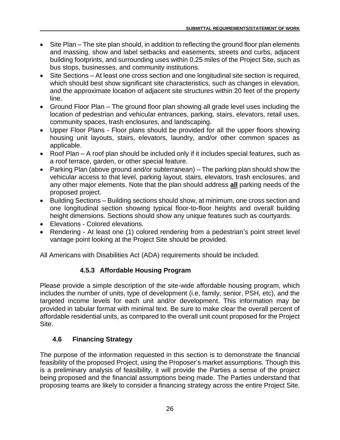- Site Plan The site plan should, in addition to reflecting the ground floor plan elements and massing, show and label setbacks and easements, streets and curbs, adjacent building footprints, and surrounding uses within 0.25 miles of the Project Site, such as bus stops, businesses, and community institutions.
- Site Sections At least one cross section and one longitudinal site section is required, which should best show significant site characteristics, such as changes in elevation, and the approximate location of adjacent site structures within 20 feet of the property line.
- Ground Floor Plan The ground floor plan showing all grade level uses including the location of pedestrian and vehicular entrances, parking, stairs, elevators, retail uses, community spaces, trash enclosures, and landscaping.
- Upper Floor Plans Floor plans should be provided for all the upper floors showing housing unit layouts, stairs, elevators, laundry, and/or other common spaces as applicable.
- Roof Plan A roof plan should be included only if it includes special features, such as a roof terrace, garden, or other special feature.
- Parking Plan (above ground and/or subterranean) The parking plan should show the vehicular access to that level, parking layout, stairs, elevators, trash enclosures, and any other major elements. Note that the plan should address **all** parking needs of the proposed project.
- Building Sections Building sections should show, at minimum, one cross section and one longitudinal section showing typical floor-to-floor heights and overall building height dimensions. Sections should show any unique features such as courtyards.
- Elevations Colored elevations.
- Rendering At least one (1) colored rendering from a pedestrian's point street level vantage point looking at the Project Site should be provided.

All Americans with Disabilities Act (ADA) requirements should be included.

### **4.5.3 Affordable Housing Program**

Please provide a simple description of the site-wide affordable housing program, which includes the number of units, type of development (i.e, family, senior, PSH, etc), and the targeted income levels for each unit and/or development. This information may be provided in tabular format with minimal text. Be sure to make clear the overall percent of affordable residential units, as compared to the overall unit count proposed for the Project Site.

### <span id="page-33-0"></span>**4.6 Financing Strategy**

The purpose of the information requested in this section is to demonstrate the financial feasibility of the proposed Project, using the Proposer's market assumptions. Though this is a preliminary analysis of feasibility, it will provide the Parties a sense of the project being proposed and the financial assumptions being made. The Parties understand that proposing teams are likely to consider a financing strategy across the entire Project Site.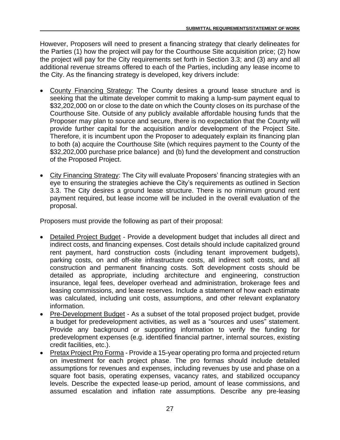However, Proposers will need to present a financing strategy that clearly delineates for the Parties (1) how the project will pay for the Courthouse Site acquisition price; (2) how the project will pay for the City requirements set forth in Section 3.3; and (3) any and all additional revenue streams offered to each of the Parties, including any lease income to the City. As the financing strategy is developed, key drivers include:

- County Financing Strategy: The County desires a ground lease structure and is seeking that the ultimate developer commit to making a lump-sum payment equal to \$32,202,000 on or close to the date on which the County closes on its purchase of the Courthouse Site. Outside of any publicly available affordable housing funds that the Proposer may plan to source and secure, there is no expectation that the County will provide further capital for the acquisition and/or development of the Project Site. Therefore, it is incumbent upon the Proposer to adequately explain its financing plan to both (a) acquire the Courthouse Site (which requires payment to the County of the \$32,202,000 purchase price balance) and (b) fund the development and construction of the Proposed Project.
- City Financing Strategy: The City will evaluate Proposers' financing strategies with an eye to ensuring the strategies achieve the City's requirements as outlined in Section 3.3. The City desires a ground lease structure. There is no minimum ground rent payment required, but lease income will be included in the overall evaluation of the proposal.

Proposers must provide the following as part of their proposal:

- Detailed Project Budget Provide a development budget that includes all direct and indirect costs, and financing expenses. Cost details should include capitalized ground rent payment, hard construction costs (including tenant improvement budgets), parking costs, on and off-site infrastructure costs, all indirect soft costs, and all construction and permanent financing costs. Soft development costs should be detailed as appropriate, including architecture and engineering, construction insurance, legal fees, developer overhead and administration, brokerage fees and leasing commissions, and lease reserves. Include a statement of how each estimate was calculated, including unit costs, assumptions, and other relevant explanatory information.
- Pre-Development Budget As a subset of the total proposed project budget, provide a budget for predevelopment activities, as well as a "sources and uses" statement. Provide any background or supporting information to verify the funding for predevelopment expenses (e.g. identified financial partner, internal sources, existing credit facilities, etc.).
- Pretax Project Pro Forma Provide a 15-year operating pro forma and projected return on investment for each project phase. The pro formas should include detailed assumptions for revenues and expenses, including revenues by use and phase on a square foot basis, operating expenses, vacancy rates, and stabilized occupancy levels. Describe the expected lease-up period, amount of lease commissions, and assumed escalation and inflation rate assumptions. Describe any pre-leasing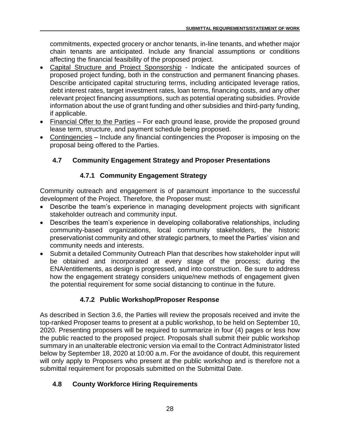commitments, expected grocery or anchor tenants, in-line tenants, and whether major chain tenants are anticipated. Include any financial assumptions or conditions affecting the financial feasibility of the proposed project.

- Capital Structure and Project Sponsorship Indicate the anticipated sources of proposed project funding, both in the construction and permanent financing phases. Describe anticipated capital structuring terms, including anticipated leverage ratios, debt interest rates, target investment rates, loan terms, financing costs, and any other relevant project financing assumptions, such as potential operating subsidies. Provide information about the use of grant funding and other subsidies and third-party funding, if applicable.
- Financial Offer to the Parties For each ground lease, provide the proposed ground lease term, structure, and payment schedule being proposed.
- Contingencies Include any financial contingencies the Proposer is imposing on the proposal being offered to the Parties.

### <span id="page-35-0"></span>**4.7 Community Engagement Strategy and Proposer Presentations**

### **4.7.1 Community Engagement Strategy**

Community outreach and engagement is of paramount importance to the successful development of the Project. Therefore, the Proposer must:

- Describe the team's experience in managing development projects with significant stakeholder outreach and community input.
- Describes the team's experience in developing collaborative relationships, including community-based organizations, local community stakeholders, the historic preservationist community and other strategic partners, to meet the Parties' vision and community needs and interests.
- Submit a detailed Community Outreach Plan that describes how stakeholder input will be obtained and incorporated at every stage of the process; during the ENA/entitlements, as design is progressed, and into construction. Be sure to address how the engagement strategy considers unique/new methods of engagement given the potential requirement for some social distancing to continue in the future.

### **4.7.2 Public Workshop/Proposer Response**

As described in Section 3.6, the Parties will review the proposals received and invite the top-ranked Proposer teams to present at a public workshop, to be held on September 10, 2020. Presenting proposers will be required to summarize in four (4) pages or less how the public reacted to the proposed project. Proposals shall submit their public workshop summary in an unalterable electronic version via email to the Contract Administrator listed below by September 18, 2020 at 10:00 a.m. For the avoidance of doubt, this requirement will only apply to Proposers who present at the public workshop and is therefore not a submittal requirement for proposals submitted on the Submittal Date.

### <span id="page-35-1"></span>**4.8 County Workforce Hiring Requirements**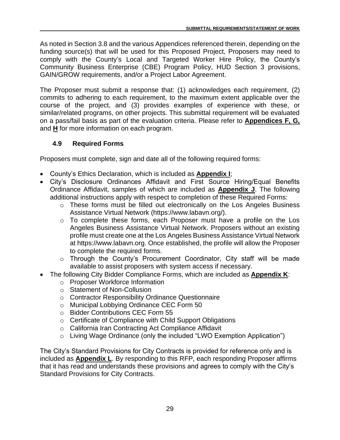As noted in Section 3.8 and the various Appendices referenced therein, depending on the funding source(s) that will be used for this Proposed Project, Proposers may need to comply with the County's Local and Targeted Worker Hire Policy, the County's Community Business Enterprise (CBE) Program Policy, HUD Section 3 provisions, GAIN/GROW requirements, and/or a Project Labor Agreement.

The Proposer must submit a response that: (1) acknowledges each requirement, (2) commits to adhering to each requirement, to the maximum extent applicable over the course of the project, and (3) provides examples of experience with these, or similar/related programs, on other projects. This submittal requirement will be evaluated on a pass/fail basis as part of the evaluation criteria. Please refer to **Appendices F, G,**  and **H** for more information on each program.

### <span id="page-36-0"></span>**4.9 Required Forms**

Proposers must complete, sign and date all of the following required forms:

- County's Ethics Declaration, which is included as **Appendix I**;
- City's Disclosure Ordinances Affidavit and First Source Hiring/Equal Benefits Ordinance Affidavit, samples of which are included as **Appendix J**. The following additional instructions apply with respect to completion of these Required Forms:
	- o These forms must be filled out electronically on the Los Angeles Business Assistance Virtual Network (https://www.labavn.org/).
	- o To complete these forms, each Proposer must have a profile on the Los Angeles Business Assistance Virtual Network. Proposers without an existing profile must create one at the Los Angeles Business Assistance Virtual Network at https://www.labavn.org. Once established, the profile will allow the Proposer to complete the required forms.
	- o Through the County's Procurement Coordinator, City staff will be made available to assist proposers with system access if necessary.
- The following City Bidder Compliance Forms, which are included as **Appendix K**:
	- o Proposer Workforce Information
	- o Statement of Non-Collusion
	- o Contractor Responsibility Ordinance Questionnaire
	- o Municipal Lobbying Ordinance CEC Form 50
	- o Bidder Contributions CEC Form 55
	- o Certificate of Compliance with Child Support Obligations
	- o California Iran Contracting Act Compliance Affidavit
	- o Living Wage Ordinance (only the included "LWO Exemption Application")

The City's Standard Provisions for City Contracts is provided for reference only and is included as **Appendix L**. By responding to this RFP, each responding Proposer affirms that it has read and understands these provisions and agrees to comply with the City's Standard Provisions for City Contracts.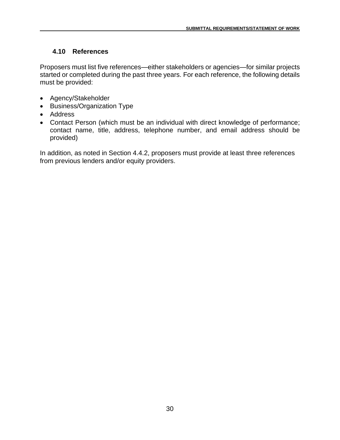### <span id="page-37-0"></span>**4.10 References**

Proposers must list five references—either stakeholders or agencies—for similar projects started or completed during the past three years. For each reference, the following details must be provided:

- Agency/Stakeholder
- Business/Organization Type
- Address
- Contact Person (which must be an individual with direct knowledge of performance; contact name, title, address, telephone number, and email address should be provided)

In addition, as noted in Section 4.4.2, proposers must provide at least three references from previous lenders and/or equity providers.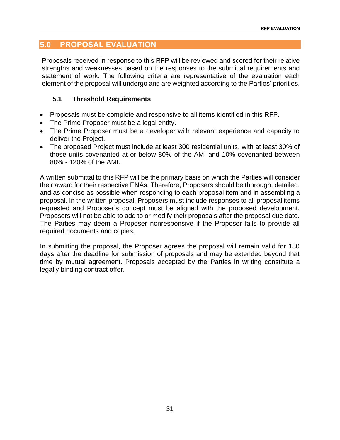### <span id="page-38-0"></span>**5.0 PROPOSAL EVALUATION**

Proposals received in response to this RFP will be reviewed and scored for their relative strengths and weaknesses based on the responses to the submittal requirements and statement of work. The following criteria are representative of the evaluation each element of the proposal will undergo and are weighted according to the Parties' priorities.

### <span id="page-38-1"></span>**5.1 Threshold Requirements**

- Proposals must be complete and responsive to all items identified in this RFP.
- The Prime Proposer must be a legal entity.
- The Prime Proposer must be a developer with relevant experience and capacity to deliver the Project.
- The proposed Project must include at least 300 residential units, with at least 30% of those units covenanted at or below 80% of the AMI and 10% covenanted between 80% - 120% of the AMI.

A written submittal to this RFP will be the primary basis on which the Parties will consider their award for their respective ENAs. Therefore, Proposers should be thorough, detailed, and as concise as possible when responding to each proposal item and in assembling a proposal. In the written proposal, Proposers must include responses to all proposal items requested and Proposer's concept must be aligned with the proposed development. Proposers will not be able to add to or modify their proposals after the proposal due date. The Parties may deem a Proposer nonresponsive if the Proposer fails to provide all required documents and copies.

In submitting the proposal, the Proposer agrees the proposal will remain valid for 180 days after the deadline for submission of proposals and may be extended beyond that time by mutual agreement. Proposals accepted by the Parties in writing constitute a legally binding contract offer.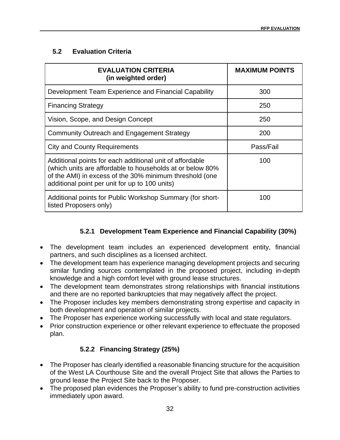### <span id="page-39-0"></span>**5.2 Evaluation Criteria**

| <b>EVALUATION CRITERIA</b><br>(in weighted order)                                                                                                                                                                                  | <b>MAXIMUM POINTS</b> |
|------------------------------------------------------------------------------------------------------------------------------------------------------------------------------------------------------------------------------------|-----------------------|
| Development Team Experience and Financial Capability                                                                                                                                                                               | 300                   |
| <b>Financing Strategy</b>                                                                                                                                                                                                          | 250                   |
| Vision, Scope, and Design Concept                                                                                                                                                                                                  | 250                   |
| <b>Community Outreach and Engagement Strategy</b>                                                                                                                                                                                  | 200                   |
| <b>City and County Requirements</b>                                                                                                                                                                                                | Pass/Fail             |
| Additional points for each additional unit of affordable<br>(which units are affordable to households at or below 80%<br>of the AMI) in excess of the 30% minimum threshold (one<br>additional point per unit for up to 100 units) | 100                   |
| Additional points for Public Workshop Summary (for short-<br>listed Proposers only)                                                                                                                                                | 100                   |

### **5.2.1 Development Team Experience and Financial Capability (30%)**

- The development team includes an experienced development entity, financial partners, and such disciplines as a licensed architect.
- The development team has experience managing development projects and securing similar funding sources contemplated in the proposed project, including in-depth knowledge and a high comfort level with ground lease structures.
- The development team demonstrates strong relationships with financial institutions and there are no reported bankruptcies that may negatively affect the project.
- The Proposer includes key members demonstrating strong expertise and capacity in both development and operation of similar projects.
- The Proposer has experience working successfully with local and state regulators.
- Prior construction experience or other relevant experience to effectuate the proposed plan.

### **5.2.2 Financing Strategy (25%)**

- The Proposer has clearly identified a reasonable financing structure for the acquisition of the West LA Courthouse Site and the overall Project Site that allows the Parties to ground lease the Project Site back to the Proposer.
- The proposed plan evidences the Proposer's ability to fund pre-construction activities immediately upon award.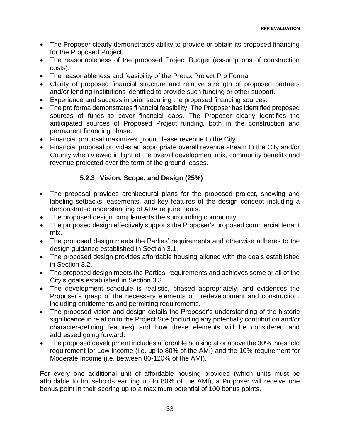- The Proposer clearly demonstrates ability to provide or obtain its proposed financing for the Proposed Project.
- The reasonableness of the proposed Project Budget (assumptions of construction costs).
- The reasonableness and feasibility of the Pretax Project Pro Forma.
- Clarity of proposed financial structure and relative strength of proposed partners and/or lending institutions identified to provide such funding or other support.
- Experience and success in prior securing the proposed financing sources.
- The pro forma demonstrates financial feasibility. The Proposer has identified proposed sources of funds to cover financial gaps. The Proposer clearly identifies the anticipated sources of Proposed Project funding, both in the construction and permanent financing phase.
- Financial proposal maximizes ground lease revenue to the City.
- Financial proposal provides an appropriate overall revenue stream to the City and/or County when viewed in light of the overall development mix, community benefits and revenue projected over the term of the ground leases.

### **5.2.3 Vision, Scope, and Design (25%)**

- The proposal provides architectural plans for the proposed project, showing and labeling setbacks, easements, and key features of the design concept including a demonstrated understanding of ADA requirements.
- The proposed design complements the surrounding community.
- The proposed design effectively supports the Proposer's proposed commercial tenant mix.
- The proposed design meets the Parties' requirements and otherwise adheres to the design guidance established in Section 3.1.
- The proposed design provides affordable housing aligned with the goals established in Section 3.2.
- The proposed design meets the Parties' requirements and achieves some or all of the City's goals established in Section 3.3.
- The development schedule is realistic, phased appropriately, and evidences the Proposer's grasp of the necessary elements of predevelopment and construction, including entitlements and permitting requirements.
- The proposed vision and design details the Proposer's understanding of the historic significance in relation to the Project Site (including any potentially contribution and/or character-defining features) and how these elements will be considered and addressed going forward.
- The proposed development includes affordable housing at or above the 30% threshold requirement for Low Income (i.e. up to 80% of the AMI) and the 10% requirement for Moderate Income (i.e. between 80-120% of the AMI).

For every one additional unit of affordable housing provided (which units must be affordable to households earning up to 80% of the AMI), a Proposer will receive one bonus point in their scoring up to a maximum potential of 100 bonus points.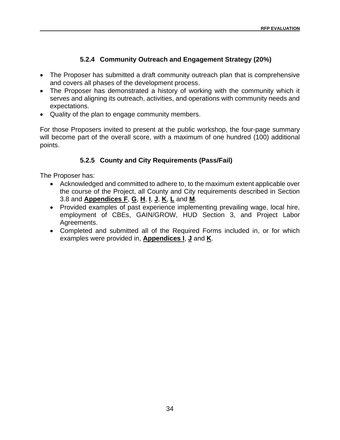### **5.2.4 Community Outreach and Engagement Strategy (20%)**

- The Proposer has submitted a draft community outreach plan that is comprehensive and covers all phases of the development process.
- The Proposer has demonstrated a history of working with the community which it serves and aligning its outreach, activities, and operations with community needs and expectations.
- Quality of the plan to engage community members.

For those Proposers invited to present at the public workshop, the four-page summary will become part of the overall score, with a maximum of one hundred (100) additional points.

### **5.2.5 County and City Requirements (Pass/Fail)**

The Proposer has:

- Acknowledged and committed to adhere to, to the maximum extent applicable over the course of the Project, all County and City requirements described in Section 3.8 and **Appendices F**, **G**, **H**, **I**, **J**, **K**, **L** and **M**.
- Provided examples of past experience implementing prevailing wage, local hire, employment of CBEs, GAIN/GROW, HUD Section 3, and Project Labor Agreements.
- Completed and submitted all of the Required Forms included in, or for which examples were provided in, **Appendices I**, **J** and **K**.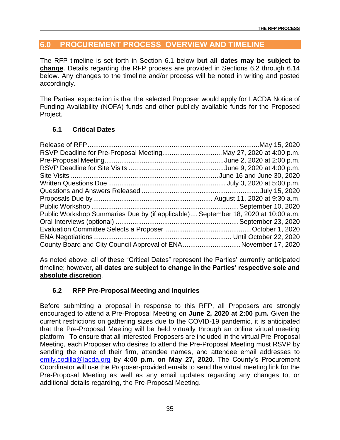### <span id="page-42-0"></span>**6.0 PROCUREMENT PROCESS OVERVIEW AND TIMELINE**

The RFP timeline is set forth in Section 6.1 below **but all dates may be subject to change**. Details regarding the RFP process are provided in Sections 6.2 through 6.14 below. Any changes to the timeline and/or process will be noted in writing and posted accordingly.

The Parties' expectation is that the selected Proposer would apply for LACDA Notice of Funding Availability (NOFA) funds and other publicly available funds for the Proposed Project.

### <span id="page-42-1"></span>**6.1 Critical Dates**

| Public Workshop Summaries Due by (if applicable) September 18, 2020 at 10:00 a.m. |  |
|-----------------------------------------------------------------------------------|--|
|                                                                                   |  |
|                                                                                   |  |
|                                                                                   |  |
| County Board and City Council Approval of ENANovember 17, 2020                    |  |

As noted above, all of these "Critical Dates" represent the Parties' currently anticipated timeline; however, **all dates are subject to change in the Parties' respective sole and absolute discretion**.

### <span id="page-42-2"></span>**6.2 RFP Pre-Proposal Meeting and Inquiries**

Before submitting a proposal in response to this RFP, all Proposers are strongly encouraged to attend a Pre-Proposal Meeting on **June 2, 2020 at 2:00 p.m.** Given the current restrictions on gathering sizes due to the COVID-19 pandemic, it is anticipated that the Pre-Proposal Meeting will be held virtually through an online virtual meeting platform To ensure that all interested Proposers are included in the virtual Pre-Proposal Meeting, each Proposer who desires to attend the Pre-Proposal Meeting must RSVP by sending the name of their firm, attendee names, and attendee email addresses to [emily.codilla@lacda.org](mailto:emily.codilla@lacda.org) by **4:00 p.m. on May 27, 2020**. The County's Procurement Coordinator will use the Proposer-provided emails to send the virtual meeting link for the Pre-Proposal Meeting as well as any email updates regarding any changes to, or additional details regarding, the Pre-Proposal Meeting.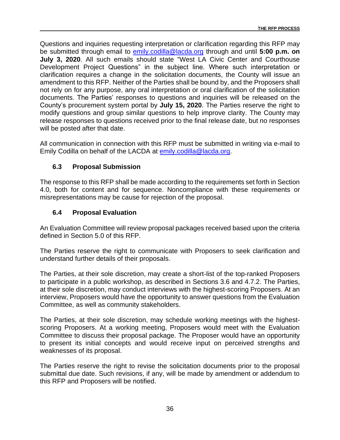Questions and inquiries requesting interpretation or clarification regarding this RFP may be submitted through email to [emily.codilla@lacda.org](mailto:emily.codilla@lacda.org) through and until **5:00 p.m. on July 3, 2020**. All such emails should state "West LA Civic Center and Courthouse Development Project Questions" in the subject line. Where such interpretation or clarification requires a change in the solicitation documents, the County will issue an amendment to this RFP. Neither of the Parties shall be bound by, and the Proposers shall not rely on for any purpose, any oral interpretation or oral clarification of the solicitation documents. The Parties' responses to questions and inquiries will be released on the County's procurement system portal by **July 15, 2020**. The Parties reserve the right to modify questions and group similar questions to help improve clarity. The County may release responses to questions received prior to the final release date, but no responses will be posted after that date.

All communication in connection with this RFP must be submitted in writing via e-mail to Emily Codilla on behalf of the LACDA at [emily.codilla@lacda.org.](mailto:emily.codilla@lacda.org)

### <span id="page-43-0"></span>**6.3 Proposal Submission**

The response to this RFP shall be made according to the requirements set forth in Section 4.0, both for content and for sequence. Noncompliance with these requirements or misrepresentations may be cause for rejection of the proposal.

### <span id="page-43-1"></span>**6.4 Proposal Evaluation**

An Evaluation Committee will review proposal packages received based upon the criteria defined in Section 5.0 of this RFP.

The Parties reserve the right to communicate with Proposers to seek clarification and understand further details of their proposals.

The Parties, at their sole discretion, may create a short-list of the top-ranked Proposers to participate in a public workshop, as described in Sections 3.6 and 4.7.2. The Parties, at their sole discretion, may conduct interviews with the highest-scoring Proposers. At an interview, Proposers would have the opportunity to answer questions from the Evaluation Committee, as well as community stakeholders.

The Parties, at their sole discretion, may schedule working meetings with the highestscoring Proposers. At a working meeting, Proposers would meet with the Evaluation Committee to discuss their proposal package. The Proposer would have an opportunity to present its initial concepts and would receive input on perceived strengths and weaknesses of its proposal.

The Parties reserve the right to revise the solicitation documents prior to the proposal submittal due date. Such revisions, if any, will be made by amendment or addendum to this RFP and Proposers will be notified.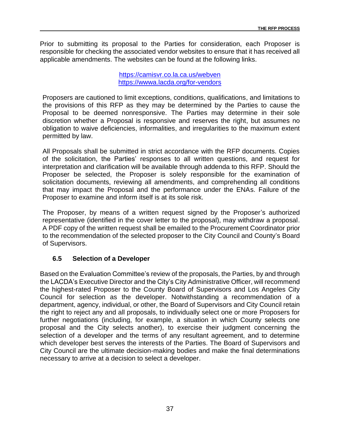Prior to submitting its proposal to the Parties for consideration, each Proposer is responsible for checking the associated vendor websites to ensure that it has received all applicable amendments. The websites can be found at the following links.

> <https://camisvr.co.la.ca.us/webven> <https://wwwa.lacda.org/for-vendors>

Proposers are cautioned to limit exceptions, conditions, qualifications, and limitations to the provisions of this RFP as they may be determined by the Parties to cause the Proposal to be deemed nonresponsive. The Parties may determine in their sole discretion whether a Proposal is responsive and reserves the right, but assumes no obligation to waive deficiencies, informalities, and irregularities to the maximum extent permitted by law.

All Proposals shall be submitted in strict accordance with the RFP documents. Copies of the solicitation, the Parties' responses to all written questions, and request for interpretation and clarification will be available through addenda to this RFP. Should the Proposer be selected, the Proposer is solely responsible for the examination of solicitation documents, reviewing all amendments, and comprehending all conditions that may impact the Proposal and the performance under the ENAs. Failure of the Proposer to examine and inform itself is at its sole risk.

The Proposer, by means of a written request signed by the Proposer's authorized representative (identified in the cover letter to the proposal), may withdraw a proposal. A PDF copy of the written request shall be emailed to the Procurement Coordinator prior to the recommendation of the selected proposer to the City Council and County's Board of Supervisors.

#### <span id="page-44-0"></span>**6.5 Selection of a Developer**

Based on the Evaluation Committee's review of the proposals, the Parties, by and through the LACDA's Executive Director and the City's City Administrative Officer, will recommend the highest-rated Proposer to the County Board of Supervisors and Los Angeles City Council for selection as the developer. Notwithstanding a recommendation of a department, agency, individual, or other, the Board of Supervisors and City Council retain the right to reject any and all proposals, to individually select one or more Proposers for further negotiations (including, for example, a situation in which County selects one proposal and the City selects another), to exercise their judgment concerning the selection of a developer and the terms of any resultant agreement, and to determine which developer best serves the interests of the Parties. The Board of Supervisors and City Council are the ultimate decision-making bodies and make the final determinations necessary to arrive at a decision to select a developer.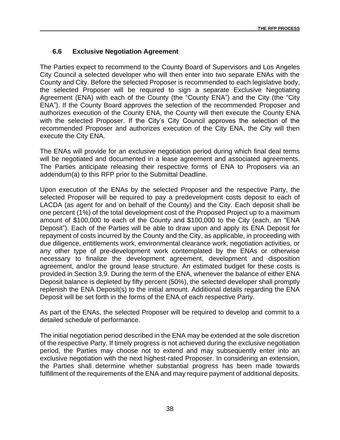### <span id="page-45-0"></span>**6.6 Exclusive Negotiation Agreement**

The Parties expect to recommend to the County Board of Supervisors and Los Angeles City Council a selected developer who will then enter into two separate ENAs with the County and City. Before the selected Proposer is recommended to each legislative body, the selected Proposer will be required to sign a separate Exclusive Negotiating Agreement (ENA) with each of the County (the "County ENA") and the City (the "City ENA"). If the County Board approves the selection of the recommended Proposer and authorizes execution of the County ENA, the County will then execute the County ENA with the selected Proposer. If the City's City Council approves the selection of the recommended Proposer and authorizes execution of the City ENA, the City will then execute the City ENA.

The ENAs will provide for an exclusive negotiation period during which final deal terms will be negotiated and documented in a lease agreement and associated agreements. The Parties anticipate releasing their respective forms of ENA to Proposers via an addendum(a) to this RFP prior to the Submittal Deadline.

Upon execution of the ENAs by the selected Proposer and the respective Party, the selected Proposer will be required to pay a predevelopment costs deposit to each of LACDA (as agent for and on behalf of the County) and the City. Each deposit shall be one percent (1%) of the total development cost of the Proposed Project up to a maximum amount of \$100,000 to each of the County and \$100,000 to the City (each, an "ENA Deposit"). Each of the Parties will be able to draw upon and apply its ENA Deposit for repayment of costs incurred by the County and the City, as applicable, in proceeding with due diligence, entitlements work, environmental clearance work, negotiation activities, or any other type of pre-development work contemplated by the ENAs or otherwise necessary to finalize the development agreement, development and disposition agreement, and/or the ground lease structure. An estimated budget for these costs is provided in Section 3.9. During the term of the ENA, whenever the balance of either ENA Deposit balance is depleted by fifty percent (50%), the selected developer shall promptly replenish the ENA Deposit(s) to the initial amount. Additional details regarding the ENA Deposit will be set forth in the forms of the ENA of each respective Party.

As part of the ENAs, the selected Proposer will be required to develop and commit to a detailed schedule of performance.

The initial negotiation period described in the ENA may be extended at the sole discretion of the respective Party. If timely progress is not achieved during the exclusive negotiation period, the Parties may choose not to extend and may subsequently enter into an exclusive negotiation with the next highest-rated Proposer. In considering an extension, the Parties shall determine whether substantial progress has been made towards fulfillment of the requirements of the ENA and may require payment of additional deposits.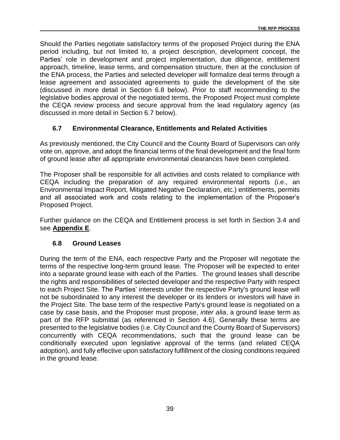Should the Parties negotiate satisfactory terms of the proposed Project during the ENA period including, but not limited to, a project description, development concept, the Parties' role in development and project implementation, due diligence, entitlement approach, timeline, lease terms, and compensation structure, then at the conclusion of the ENA process, the Parties and selected developer will formalize deal terms through a lease agreement and associated agreements to guide the development of the site (discussed in more detail in Section 6.8 below). Prior to staff recommending to the legislative bodies approval of the negotiated terms, the Proposed Project must complete the CEQA review process and secure approval from the lead regulatory agency (as discussed in more detail in Section 6.7 below).

#### <span id="page-46-0"></span>**6.7 Environmental Clearance, Entitlements and Related Activities**

As previously mentioned, the City Council and the County Board of Supervisors can only vote on, approve, and adopt the financial terms of the final development and the final form of ground lease after all appropriate environmental clearances have been completed.

The Proposer shall be responsible for all activities and costs related to compliance with CEQA including the preparation of any required environmental reports (i.e., an Environmental Impact Report, Mitigated Negative Declaration, etc.) entitlements, permits and all associated work and costs relating to the implementation of the Proposer's Proposed Project.

Further guidance on the CEQA and Entitlement process is set forth in Section 3.4 and see **Appendix E**.

#### <span id="page-46-1"></span>**6.8 Ground Leases**

During the term of the ENA, each respective Party and the Proposer will negotiate the terms of the respective long-term ground lease. The Proposer will be expected to enter into a separate ground lease with each of the Parties. The ground leases shall describe the rights and responsibilities of selected developer and the respective Party with respect to each Project Site. The Parties' interests under the respective Party's ground lease will not be subordinated to any interest the developer or its lenders or investors will have in the Project Site. The base term of the respective Party's ground lease is negotiated on a case by case basis, and the Proposer must propose, *inter alia*, a ground lease term as part of the RFP submittal (as referenced in Section 4.6). Generally these terms are presented to the legislative bodies (i.e. City Council and the County Board of Supervisors) concurrently with CEQA recommendations, such that the ground lease can be conditionally executed upon legislative approval of the terms (and related CEQA adoption), and fully effective upon satisfactory fulfillment of the closing conditions required in the ground lease.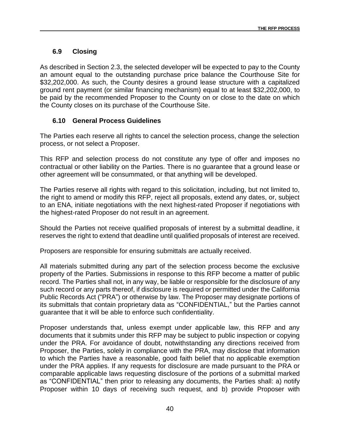### <span id="page-47-0"></span>**6.9 Closing**

As described in Section 2.3, the selected developer will be expected to pay to the County an amount equal to the outstanding purchase price balance the Courthouse Site for \$32,202,000. As such, the County desires a ground lease structure with a capitalized ground rent payment (or similar financing mechanism) equal to at least \$32,202,000, to be paid by the recommended Proposer to the County on or close to the date on which the County closes on its purchase of the Courthouse Site.

### <span id="page-47-1"></span>**6.10 General Process Guidelines**

The Parties each reserve all rights to cancel the selection process, change the selection process, or not select a Proposer.

This RFP and selection process do not constitute any type of offer and imposes no contractual or other liability on the Parties. There is no guarantee that a ground lease or other agreement will be consummated, or that anything will be developed.

The Parties reserve all rights with regard to this solicitation, including, but not limited to, the right to amend or modify this RFP, reject all proposals, extend any dates, or, subject to an ENA, initiate negotiations with the next highest-rated Proposer if negotiations with the highest-rated Proposer do not result in an agreement.

Should the Parties not receive qualified proposals of interest by a submittal deadline, it reserves the right to extend that deadline until qualified proposals of interest are received.

Proposers are responsible for ensuring submittals are actually received.

All materials submitted during any part of the selection process become the exclusive property of the Parties. Submissions in response to this RFP become a matter of public record. The Parties shall not, in any way, be liable or responsible for the disclosure of any such record or any parts thereof, if disclosure is required or permitted under the California Public Records Act ("PRA") or otherwise by law. The Proposer may designate portions of its submittals that contain proprietary data as "CONFIDENTIAL," but the Parties cannot guarantee that it will be able to enforce such confidentiality.

Proposer understands that, unless exempt under applicable law, this RFP and any documents that it submits under this RFP may be subject to public inspection or copying under the PRA. For avoidance of doubt, notwithstanding any directions received from Proposer, the Parties, solely in compliance with the PRA, may disclose that information to which the Parties have a reasonable, good faith belief that no applicable exemption under the PRA applies. If any requests for disclosure are made pursuant to the PRA or comparable applicable laws requesting disclosure of the portions of a submittal marked as "CONFIDENTIAL" then prior to releasing any documents, the Parties shall: a) notify Proposer within 10 days of receiving such request, and b) provide Proposer with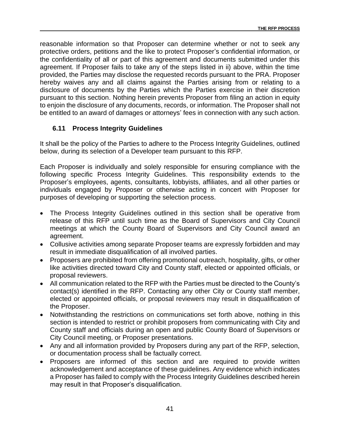reasonable information so that Proposer can determine whether or not to seek any protective orders, petitions and the like to protect Proposer's confidential information, or the confidentiality of all or part of this agreement and documents submitted under this agreement. If Proposer fails to take any of the steps listed in ii) above, within the time provided, the Parties may disclose the requested records pursuant to the PRA. Proposer hereby waives any and all claims against the Parties arising from or relating to a disclosure of documents by the Parties which the Parties exercise in their discretion pursuant to this section. Nothing herein prevents Proposer from filing an action in equity to enjoin the disclosure of any documents, records, or information. The Proposer shall not be entitled to an award of damages or attorneys' fees in connection with any such action.

#### <span id="page-48-0"></span>**6.11 Process Integrity Guidelines**

It shall be the policy of the Parties to adhere to the Process Integrity Guidelines, outlined below, during its selection of a Developer team pursuant to this RFP.

Each Proposer is individually and solely responsible for ensuring compliance with the following specific Process Integrity Guidelines. This responsibility extends to the Proposer's employees, agents, consultants, lobbyists, affiliates, and all other parties or individuals engaged by Proposer or otherwise acting in concert with Proposer for purposes of developing or supporting the selection process.

- The Process Integrity Guidelines outlined in this section shall be operative from release of this RFP until such time as the Board of Supervisors and City Council meetings at which the County Board of Supervisors and City Council award an agreement.
- Collusive activities among separate Proposer teams are expressly forbidden and may result in immediate disqualification of all involved parties.
- Proposers are prohibited from offering promotional outreach, hospitality, gifts, or other like activities directed toward City and County staff, elected or appointed officials, or proposal reviewers.
- All communication related to the RFP with the Parties must be directed to the County's contact(s) identified in the RFP. Contacting any other City or County staff member, elected or appointed officials, or proposal reviewers may result in disqualification of the Proposer.
- Notwithstanding the restrictions on communications set forth above, nothing in this section is intended to restrict or prohibit proposers from communicating with City and County staff and officials during an open and public County Board of Supervisors or City Council meeting, or Proposer presentations.
- Any and all information provided by Proposers during any part of the RFP, selection, or documentation process shall be factually correct.
- Proposers are informed of this section and are required to provide written acknowledgement and acceptance of these guidelines. Any evidence which indicates a Proposer has failed to comply with the Process Integrity Guidelines described herein may result in that Proposer's disqualification.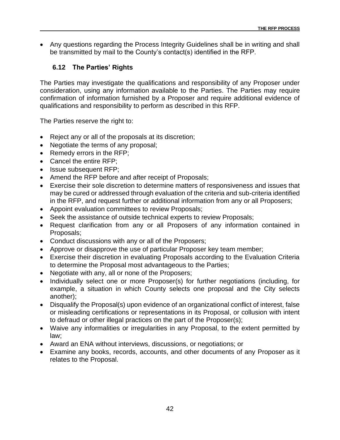• Any questions regarding the Process Integrity Guidelines shall be in writing and shall be transmitted by mail to the County's contact(s) identified in the RFP.

### <span id="page-49-0"></span>**6.12 The Parties' Rights**

The Parties may investigate the qualifications and responsibility of any Proposer under consideration, using any information available to the Parties. The Parties may require confirmation of information furnished by a Proposer and require additional evidence of qualifications and responsibility to perform as described in this RFP.

The Parties reserve the right to:

- Reject any or all of the proposals at its discretion;
- Negotiate the terms of any proposal;
- Remedy errors in the RFP;
- Cancel the entire RFP;
- Issue subsequent RFP;
- Amend the RFP before and after receipt of Proposals;
- Exercise their sole discretion to determine matters of responsiveness and issues that may be cured or addressed through evaluation of the criteria and sub-criteria identified in the RFP, and request further or additional information from any or all Proposers;
- Appoint evaluation committees to review Proposals;
- Seek the assistance of outside technical experts to review Proposals;
- Request clarification from any or all Proposers of any information contained in Proposals;
- Conduct discussions with any or all of the Proposers;
- Approve or disapprove the use of particular Proposer key team member;
- Exercise their discretion in evaluating Proposals according to the Evaluation Criteria to determine the Proposal most advantageous to the Parties;
- Negotiate with any, all or none of the Proposers;
- Individually select one or more Proposer(s) for further negotiations (including, for example, a situation in which County selects one proposal and the City selects another);
- Disqualify the Proposal(s) upon evidence of an organizational conflict of interest, false or misleading certifications or representations in its Proposal, or collusion with intent to defraud or other illegal practices on the part of the Proposer(s);
- Waive any informalities or irregularities in any Proposal, to the extent permitted by law;
- Award an ENA without interviews, discussions, or negotiations; or
- Examine any books, records, accounts, and other documents of any Proposer as it relates to the Proposal.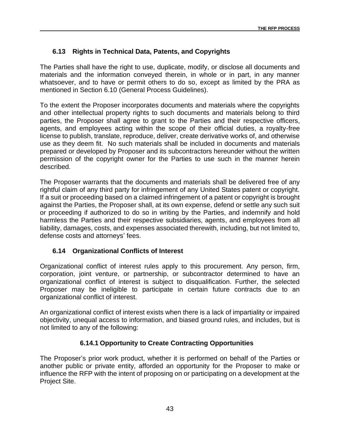### <span id="page-50-0"></span>**6.13 Rights in Technical Data, Patents, and Copyrights**

The Parties shall have the right to use, duplicate, modify, or disclose all documents and materials and the information conveyed therein, in whole or in part, in any manner whatsoever, and to have or permit others to do so, except as limited by the PRA as mentioned in Section 6.10 (General Process Guidelines).

To the extent the Proposer incorporates documents and materials where the copyrights and other intellectual property rights to such documents and materials belong to third parties, the Proposer shall agree to grant to the Parties and their respective officers, agents, and employees acting within the scope of their official duties, a royalty-free license to publish, translate, reproduce, deliver, create derivative works of, and otherwise use as they deem fit. No such materials shall be included in documents and materials prepared or developed by Proposer and its subcontractors hereunder without the written permission of the copyright owner for the Parties to use such in the manner herein described.

The Proposer warrants that the documents and materials shall be delivered free of any rightful claim of any third party for infringement of any United States patent or copyright. If a suit or proceeding based on a claimed infringement of a patent or copyright is brought against the Parties, the Proposer shall, at its own expense, defend or settle any such suit or proceeding if authorized to do so in writing by the Parties, and indemnify and hold harmless the Parties and their respective subsidiaries, agents, and employees from all liability, damages, costs, and expenses associated therewith, including, but not limited to, defense costs and attorneys' fees.

### <span id="page-50-1"></span>**6.14 Organizational Conflicts of Interest**

Organizational conflict of interest rules apply to this procurement. Any person, firm, corporation, joint venture, or partnership, or subcontractor determined to have an organizational conflict of interest is subject to disqualification. Further, the selected Proposer may be ineligible to participate in certain future contracts due to an organizational conflict of interest.

An organizational conflict of interest exists when there is a lack of impartiality or impaired objectivity, unequal access to information, and biased ground rules, and includes, but is not limited to any of the following:

#### **6.14.1 Opportunity to Create Contracting Opportunities**

The Proposer's prior work product, whether it is performed on behalf of the Parties or another public or private entity, afforded an opportunity for the Proposer to make or influence the RFP with the intent of proposing on or participating on a development at the Project Site.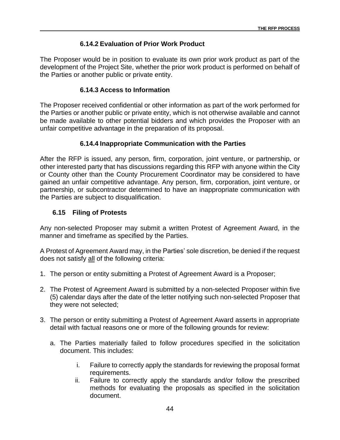### **6.14.2 Evaluation of Prior Work Product**

The Proposer would be in position to evaluate its own prior work product as part of the development of the Project Site, whether the prior work product is performed on behalf of the Parties or another public or private entity.

#### **6.14.3 Access to Information**

The Proposer received confidential or other information as part of the work performed for the Parties or another public or private entity, which is not otherwise available and cannot be made available to other potential bidders and which provides the Proposer with an unfair competitive advantage in the preparation of its proposal.

#### **6.14.4 Inappropriate Communication with the Parties**

After the RFP is issued, any person, firm, corporation, joint venture, or partnership, or other interested party that has discussions regarding this RFP with anyone within the City or County other than the County Procurement Coordinator may be considered to have gained an unfair competitive advantage. Any person, firm, corporation, joint venture, or partnership, or subcontractor determined to have an inappropriate communication with the Parties are subject to disqualification.

#### <span id="page-51-0"></span>**6.15 Filing of Protests**

Any non-selected Proposer may submit a written Protest of Agreement Award, in the manner and timeframe as specified by the Parties.

A Protest of Agreement Award may, in the Parties' sole discretion, be denied if the request does not satisfy all of the following criteria:

- 1. The person or entity submitting a Protest of Agreement Award is a Proposer;
- 2. The Protest of Agreement Award is submitted by a non-selected Proposer within five (5) calendar days after the date of the letter notifying such non-selected Proposer that they were not selected;
- 3. The person or entity submitting a Protest of Agreement Award asserts in appropriate detail with factual reasons one or more of the following grounds for review:
	- a. The Parties materially failed to follow procedures specified in the solicitation document. This includes:
		- i. Failure to correctly apply the standards for reviewing the proposal format requirements.
		- ii. Failure to correctly apply the standards and/or follow the prescribed methods for evaluating the proposals as specified in the solicitation document.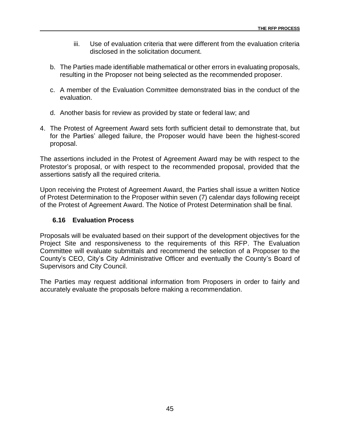- iii. Use of evaluation criteria that were different from the evaluation criteria disclosed in the solicitation document.
- b. The Parties made identifiable mathematical or other errors in evaluating proposals, resulting in the Proposer not being selected as the recommended proposer.
- c. A member of the Evaluation Committee demonstrated bias in the conduct of the evaluation.
- d. Another basis for review as provided by state or federal law; and
- 4. The Protest of Agreement Award sets forth sufficient detail to demonstrate that, but for the Parties' alleged failure, the Proposer would have been the highest-scored proposal.

The assertions included in the Protest of Agreement Award may be with respect to the Protestor's proposal, or with respect to the recommended proposal, provided that the assertions satisfy all the required criteria.

Upon receiving the Protest of Agreement Award, the Parties shall issue a written Notice of Protest Determination to the Proposer within seven (7) calendar days following receipt of the Protest of Agreement Award. The Notice of Protest Determination shall be final.

#### <span id="page-52-0"></span>**6.16 Evaluation Process**

Proposals will be evaluated based on their support of the development objectives for the Project Site and responsiveness to the requirements of this RFP. The Evaluation Committee will evaluate submittals and recommend the selection of a Proposer to the County's CEO, City's City Administrative Officer and eventually the County's Board of Supervisors and City Council.

The Parties may request additional information from Proposers in order to fairly and accurately evaluate the proposals before making a recommendation.